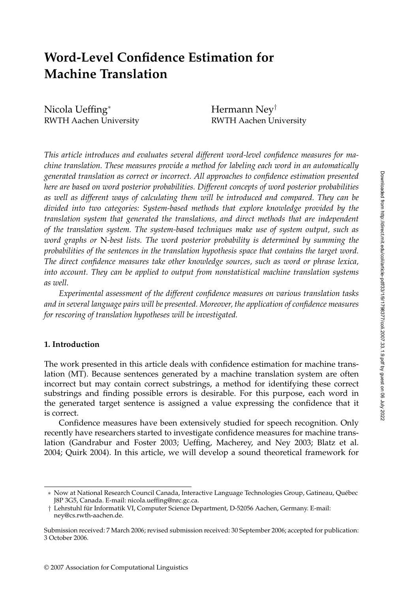# **Word-Level Confidence Estimation for Machine Translation**

Nicola Ueffing<sup>∗</sup> RWTH Aachen University Hermann Ney† RWTH Aachen University

*This article introduces and evaluates several different word-level confidence measures for machine translation. These measures provide a method for labeling each word in an automatically generated translation as correct or incorrect. All approaches to confidence estimation presented here are based on word posterior probabilities. Different concepts of word posterior probabilities as well as different ways of calculating them will be introduced and compared. They can be divided into two categories: System-based methods that explore knowledge provided by the* translation system that generated the translations, and direct methods that are independent *of the translation system. The system-based techniques make use of system output, such as word graphs or* N*-best lists. The word posterior probability is determined by summing the probabilities of the sentences in the translation hypothesis space that contains the target word.* The direct confidence measures take other knowledge sources, such as word or phrase lexica, *into account. They can be applied to output from nonstatistical machine translation systems as well.*

*Experimental assessment of the different confidence measures on various translation tasks and in several language pairs will be presented. Moreover,the application of confidence measures for rescoring of translation hypotheses will be investigated.*

#### **1. Introduction**

The work presented in this article deals with confidence estimation for machine translation (MT). Because sentences generated by a machine translation system are often incorrect but may contain correct substrings, a method for identifying these correct substrings and finding possible errors is desirable. For this purpose, each word in the generated target sentence is assigned a value expressing the confidence that it is correct.

Confidence measures have been extensively studied for speech recognition. Only recently have researchers started to investigate confidence measures for machine translation (Gandrabur and Foster 2003; Ueffing, Macherey, and Ney 2003; Blatz et al. 2004; Quirk 2004). In this article, we will develop a sound theoretical framework for

<sup>∗</sup> Now at National Research Council Canada, Interactive Language Technologies Group, Gatineau, Quebec ´ J8P 3G5, Canada. E-mail: nicola.ueffing@nrc.gc.ca.

<sup>†</sup> Lehrstuhl fur Informatik VI, Computer Science Department, D-52056 Aachen, Germany. E-mail: ¨ ney@cs.rwth-aachen.de.

Submission received: 7 March 2006; revised submission received: 30 September 2006; accepted for publication: 3 October 2006.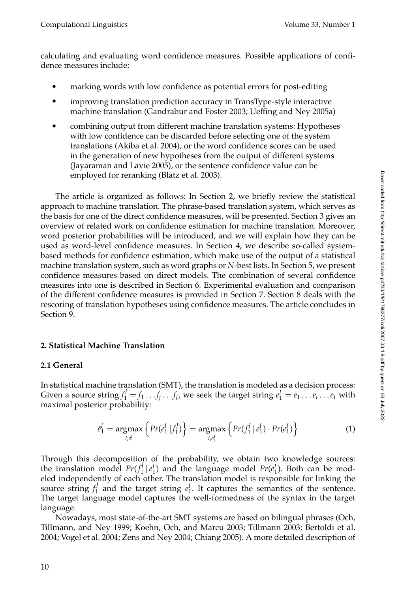calculating and evaluating word confidence measures. Possible applications of confidence measures include:

- marking words with low confidence as potential errors for post-editing
- improving translation prediction accuracy in TransType-style interactive machine translation (Gandrabur and Foster 2003; Ueffing and Ney 2005a)
- combining output from different machine translation systems: Hypotheses with low confidence can be discarded before selecting one of the system translations (Akiba et al. 2004), or the word confidence scores can be used in the generation of new hypotheses from the output of different systems (Jayaraman and Lavie 2005), or the sentence confidence value can be employed for reranking (Blatz et al. 2003).

The article is organized as follows: In Section 2, we briefly review the statistical approach to machine translation. The phrase-based translation system, which serves as the basis for one of the direct confidence measures, will be presented. Section 3 gives an overview of related work on confidence estimation for machine translation. Moreover, word posterior probabilities will be introduced, and we will explain how they can be used as word-level confidence measures. In Section 4, we describe so-called systembased methods for confidence estimation, which make use of the output of a statistical machine translation system, such as word graphs or *N*-best lists. In Section 5, we present confidence measures based on direct models. The combination of several confidence measures into one is described in Section 6. Experimental evaluation and comparison of the different confidence measures is provided in Section 7. Section 8 deals with the rescoring of translation hypotheses using confidence measures. The article concludes in Section 9.

## **2. Statistical Machine Translation**

## **2.1 General**

In statistical machine translation (SMT), the translation is modeled as a decision process: Given a source string  $f_1^J = f_1 \dots f_j \dots f_J$ , we seek the target string  $e_1^J = e_1 \dots e_i \dots e_I$  with maximal posterior probability:

$$
\hat{e}_1^{\hat{i}} = \underset{I, e_1^I}{\operatorname{argmax}} \left\{ Pr(e_1^I \mid f_1^J) \right\} = \underset{I, e_1^I}{\operatorname{argmax}} \left\{ Pr(f_1^J \mid e_1^I) \cdot Pr(e_1^I) \right\} \tag{1}
$$

Through this decomposition of the probability, we obtain two knowledge sources: the translation model  $Pr(f_1^f | e_1^I)$  and the language model  $Pr(e_1^I)$ . Both can be modeled independently of each other. The translation model is responsible for linking the source string  $f_1^j$  and the target string  $e_1^j$ . It captures the semantics of the sentence. The target language model captures the well-formedness of the syntax in the target language.

Nowadays, most state-of-the-art SMT systems are based on bilingual phrases (Och, Tillmann, and Ney 1999; Koehn, Och, and Marcu 2003; Tillmann 2003; Bertoldi et al. 2004; Vogel et al. 2004; Zens and Ney 2004; Chiang 2005). A more detailed description of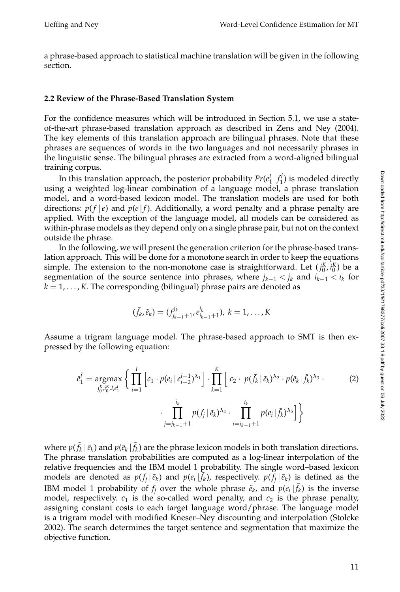a phrase-based approach to statistical machine translation will be given in the following section.

### **2.2 Reviewof the Phrase-Based Translation System**

For the confidence measures which will be introduced in Section 5.1, we use a stateof-the-art phrase-based translation approach as described in Zens and Ney (2004). The key elements of this translation approach are bilingual phrases. Note that these phrases are sequences of words in the two languages and not necessarily phrases in the linguistic sense. The bilingual phrases are extracted from a word-aligned bilingual training corpus.

In this translation approach, the posterior probability  $Pr(e_1^I | f_1^J)$  is modeled directly using a weighted log-linear combination of a language model, a phrase translation model, and a word-based lexicon model. The translation models are used for both directions:  $p(f | e)$  and  $p(e | f)$ . Additionally, a word penalty and a phrase penalty are applied. With the exception of the language model, all models can be considered as within-phrase models as they depend only on a single phrase pair, but not on the context outside the phrase.

In the following, we will present the generation criterion for the phrase-based translation approach. This will be done for a monotone search in order to keep the equations simple. The extension to the non-monotone case is straightforward. Let  $(j_0^K, i_0^K)$  be a segmentation of the source sentence into phrases, where  $j_{k-1} < j_k$  and  $i_{k-1} < i_k$  for  $k = 1, \ldots, K$ . The corresponding (bilingual) phrase pairs are denoted as

$$
(\tilde{f}_k, \tilde{e}_k) = (f_{j_{k-1}+1}^{j_k}, e_{i_{k-1}+1}^{i_k}), k = 1, ..., K
$$

Assume a trigram language model. The phrase-based approach to SMT is then expressed by the following equation:

$$
\hat{e}_1^{\hat{I}} = \underset{\substack{j_0^k, i_0^k, l e_1^l \\ j_0^k, i_0^k, l e_1^l}}{\arg \max} \left\{ \prod_{i=1}^l \left[ c_1 \cdot p(e_i \mid e_{i-2}^{i-1})^{\lambda_1} \right] \cdot \prod_{k=1}^K \left[ c_2 \cdot p(\tilde{f}_k \mid \tilde{e}_k)^{\lambda_2} \cdot p(\tilde{e}_k \mid \tilde{f}_k)^{\lambda_3} \cdot \right] \right\}
$$
\n
$$
\cdot \prod_{j \mid k}^{j_k} p(f_j \mid \tilde{e}_k)^{\lambda_4} \cdot \prod_{j \mid k}^{i_k} p(e_i \mid \tilde{f}_k)^{\lambda_5} \right\}
$$
\n
$$
(2)
$$

*<sup>i</sup>*=*ik*−1+<sup>1</sup>

where  $p(\tilde{f}_k | \tilde{e}_k)$  and  $p(\tilde{e}_k | \tilde{f}_k)$  are the phrase lexicon models in both translation directions. The phrase translation probabilities are computed as a log-linear interpolation of the relative frequencies and the IBM model 1 probability. The single word–based lexicon models are denoted as  $p(f_j | \tilde{e}_k)$  and  $p(e_i | \tilde{f}_k)$ , respectively.  $p(f_j | \tilde{e}_k)$  is defined as the IBM model 1 probability of  $f_j$  over the whole phrase  $\tilde{e}_k$ , and  $p(e_i | \tilde{f}_k)$  is the inverse model, respectively.  $c_1$  is the so-called word penalty, and  $c_2$  is the phrase penalty, assigning constant costs to each target language word/phrase. The language model is a trigram model with modified Kneser–Ney discounting and interpolation (Stolcke 2002). The search determines the target sentence and segmentation that maximize the objective function.

*<sup>j</sup>*=*jk*−1+<sup>1</sup>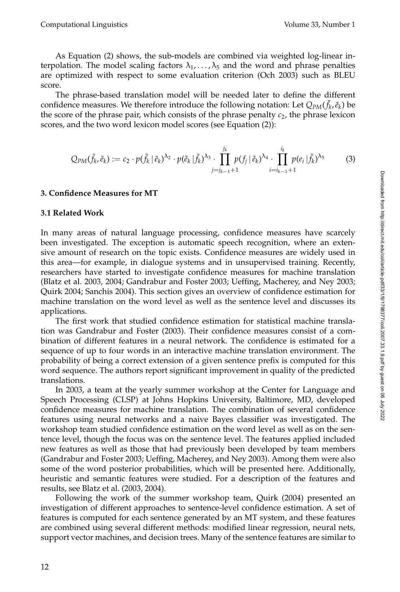As Equation (2) shows, the sub-models are combined via weighted log-linear interpolation. The model scaling factors  $\lambda_1, \ldots, \lambda_5$  and the word and phrase penalties are optimized with respect to some evaluation criterion (Och 2003) such as BLEU score.

The phrase-based translation model will be needed later to define the different confidence measures. We therefore introduce the following notation: Let  $Q_{PM}(\tilde{f}_k, \tilde{e}_k)$  be the score of the phrase pair, which consists of the phrase penalty *c*2, the phrase lexicon scores, and the two word lexicon model scores (see Equation (2)):

$$
Q_{PM}(\tilde{f}_k, \tilde{e}_k) := c_2 \cdot p(\tilde{f}_k \mid \tilde{e}_k)^{\lambda_2} \cdot p(\tilde{e}_k \mid \tilde{f}_k)^{\lambda_3} \cdot \prod_{j=j_{k-1}+1}^{j_k} p(f_j \mid \tilde{e}_k)^{\lambda_4} \cdot \prod_{i=i_{k-1}+1}^{i_k} p(e_i \mid \tilde{f}_k)^{\lambda_5}
$$
(3)

#### **3. Confidence Measures for MT**

#### **3.1 Related Work**

In many areas of natural language processing, confidence measures have scarcely been investigated. The exception is automatic speech recognition, where an extensive amount of research on the topic exists. Confidence measures are widely used in this area—for example, in dialogue systems and in unsupervised training. Recently, researchers have started to investigate confidence measures for machine translation (Blatz et al. 2003, 2004; Gandrabur and Foster 2003; Ueffing, Macherey, and Ney 2003; Quirk 2004; Sanchis 2004). This section gives an overview of confidence estimation for machine translation on the word level as well as the sentence level and discusses its applications.

The first work that studied confidence estimation for statistical machine translation was Gandrabur and Foster (2003). Their confidence measures consist of a combination of different features in a neural network. The confidence is estimated for a sequence of up to four words in an interactive machine translation environment. The probability of being a correct extension of a given sentence prefix is computed for this word sequence. The authors report significant improvement in quality of the predicted translations.

In 2003, a team at the yearly summer workshop at the Center for Language and Speech Processing (CLSP) at Johns Hopkins University, Baltimore, MD, developed confidence measures for machine translation. The combination of several confidence features using neural networks and a naive Bayes classifier was investigated. The workshop team studied confidence estimation on the word level as well as on the sentence level, though the focus was on the sentence level. The features applied included new features as well as those that had previously been developed by team members (Gandrabur and Foster 2003; Ueffing, Macherey, and Ney 2003). Among them were also some of the word posterior probabilities, which will be presented here. Additionally, heuristic and semantic features were studied. For a description of the features and results, see Blatz et al. (2003, 2004).

Following the work of the summer workshop team, Quirk (2004) presented an investigation of different approaches to sentence-level confidence estimation. A set of features is computed for each sentence generated by an MT system, and these features are combined using several different methods: modified linear regression, neural nets, support vector machines, and decision trees. Many of the sentence features are similar to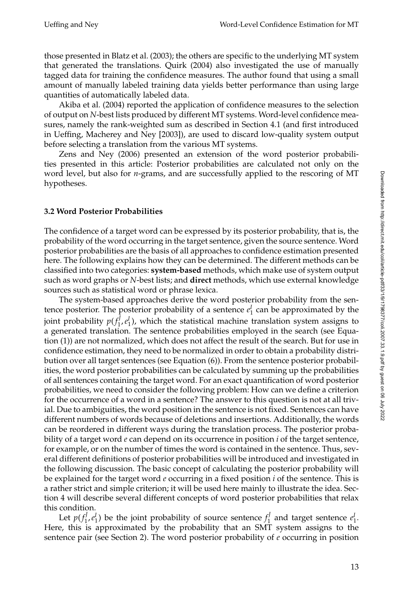those presented in Blatz et al. (2003); the others are specific to the underlying MT system that generated the translations. Quirk  $(2004)$  also investigated the use of manually tagged data for training the confidence measures. The author found that using a small amount of manually labeled training data yields better performance than using large quantities of automatically labeled data.

Akiba et al. (2004) reported the application of confidence measures to the selection of output on *N*-best lists produced by different MT systems. Word-level confidence measures, namely the rank-weighted sum as described in Section 4.1 (and first introduced in Ueffing, Macherey and Ney [2003]), are used to discard low-quality system output before selecting a translation from the various MT systems.

Zens and Ney (2006) presented an extension of the word posterior probabilities presented in this article: Posterior probabilities are calculated not only on the word level, but also for *n*-grams, and are successfully applied to the rescoring of MT hypotheses.

## **3.2 Word Posterior Probabilities**

The confidence of a target word can be expressed by its posterior probability, that is, the probability of the word occurring in the target sentence, given the source sentence. Word posterior probabilities are the basis of all approaches to confidence estimation presented here. The following explains how they can be determined. The different methods can be classified into two categories: **system-based** methods, which make use of system output such as word graphs or *N*-best lists; and **direct** methods, which use external knowledge sources such as statistical word or phrase lexica.

The system-based approaches derive the word posterior probability from the sentence posterior. The posterior probability of a sentence  $e_1^I$  can be approximated by the joint probability  $p(f_1^j, e_1^j)$ , which the statistical machine translation system assigns to a generated translation. The sentence probabilities employed in the search (see Equation (1)) are not normalized, which does not affect the result of the search. But for use in confidence estimation, they need to be normalized in order to obtain a probability distribution over all target sentences (see Equation (6)). From the sentence posterior probabilities, the word posterior probabilities can be calculated by summing up the probabilities of all sentences containing the target word. For an exact quantification of word posterior probabilities, we need to consider the following problem: How can we define a criterion for the occurrence of a word in a sentence? The answer to this question is not at all trivial. Due to ambiguities, the word position in the sentence is not fixed. Sentences can have different numbers of words because of deletions and insertions. Additionally, the words can be reordered in different ways during the translation process. The posterior probability of a target word *e* can depend on its occurrence in position *i* of the target sentence, for example, or on the number of times the word is contained in the sentence. Thus, several different definitions of posterior probabilities will be introduced and investigated in the following discussion. The basic concept of calculating the posterior probability will be explained for the target word *e* occurring in a fixed position *i* of the sentence. This is a rather strict and simple criterion; it will be used here mainly to illustrate the idea. Section 4 will describe several different concepts of word posterior probabilities that relax this condition.

Let  $p(f_1^f, e_1^I)$  be the joint probability of source sentence  $f_1^J$  and target sentence  $e_1^I$ . Here, this is approximated by the probability that an SMT system assigns to the sentence pair (see Section 2). The word posterior probability of *e* occurring in position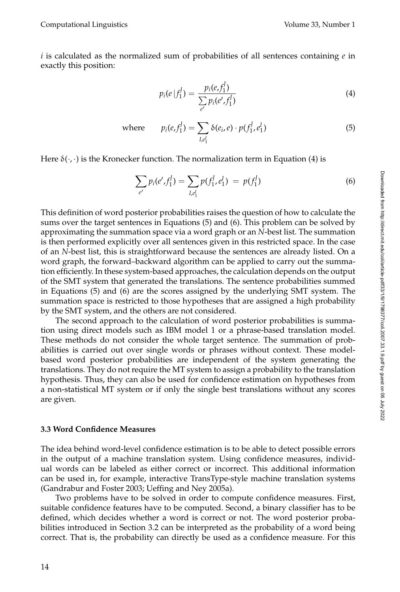*i* is calculated as the normalized sum of probabilities of all sentences containing *e* in exactly this position:

$$
p_i(e|f_1^I) = \frac{p_i(e, f_1^I)}{\sum_{e'} p_i(e', f_1^I)}
$$
(4)

where 
$$
p_i(e, f_1^I) = \sum_{I, e_1^I} \delta(e_i, e) \cdot p(f_1^I, e_1^I)
$$
 (5)

Here  $\delta(\cdot, \cdot)$  is the Kronecker function. The normalization term in Equation (4) is

$$
\sum_{e'} p_i(e', f_1^f) = \sum_{I, e_1^f} p(f_1^f, e_1^f) = p(f_1^f)
$$
\n(6)

This definition of word posterior probabilities raises the question of how to calculate the sums over the target sentences in Equations  $(5)$  and  $(6)$ . This problem can be solved by approximating the summation space via a word graph or an *N*-best list. The summation is then performed explicitly over all sentences given in this restricted space. In the case of an *N*-best list, this is straightforward because the sentences are already listed. On a word graph, the forward–backward algorithm can be applied to carry out the summation efficiently. In these system-based approaches, the calculation depends on the output of the SMT system that generated the translations. The sentence probabilities summed in Equations (5) and (6) are the scores assigned by the underlying SMT system. The summation space is restricted to those hypotheses that are assigned a high probability by the SMT system, and the others are not considered.

The second approach to the calculation of word posterior probabilities is summation using direct models such as IBM model 1 or a phrase-based translation model. These methods do not consider the whole target sentence. The summation of probabilities is carried out over single words or phrases without context. These modelbased word posterior probabilities are independent of the system generating the translations. They do not require the MT system to assign a probability to the translation hypothesis. Thus, they can also be used for confidence estimation on hypotheses from a non-statistical MT system or if only the single best translations without any scores are given.

#### **3.3 Word Confidence Measures**

The idea behind word-level confidence estimation is to be able to detect possible errors in the output of a machine translation system. Using confidence measures, individual words can be labeled as either correct or incorrect. This additional information can be used in, for example, interactive TransType-style machine translation systems (Gandrabur and Foster 2003; Ueffing and Ney 2005a).

Two problems have to be solved in order to compute confidence measures. First, suitable confidence features have to be computed. Second, a binary classifier has to be defined, which decides whether a word is correct or not. The word posterior probabilities introduced in Section 3.2 can be interpreted as the probability of a word being correct. That is, the probability can directly be used as a confidence measure. For this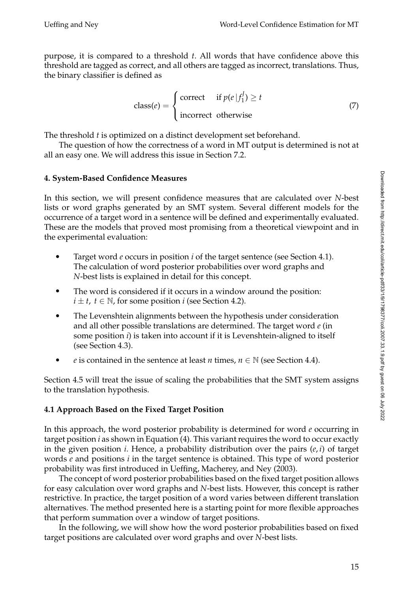purpose, it is compared to a threshold *t*. All words that have confidence above this threshold are tagged as correct, and all others are tagged as incorrect, translations. Thus, the binary classifier is defined as

$$
\text{class}(e) = \begin{cases} \text{correct} & \text{if } p(e \mid f_1^I) \ge t \\ \text{incorrect otherwise} \end{cases} \tag{7}
$$

The threshold *t* is optimized on a distinct development set beforehand.

The question of how the correctness of a word in MT output is determined is not at all an easy one. We will address this issue in Section 7.2.

## **4. System-Based Confidence Measures**

In this section, we will present confidence measures that are calculated over *N*-best lists or word graphs generated by an SMT system. Several different models for the occurrence of a target word in a sentence will be defined and experimentally evaluated. These are the models that proved most promising from a theoretical viewpoint and in the experimental evaluation:

- Target word *e* occurs in position *i* of the target sentence (see Section 4.1). The calculation of word posterior probabilities over word graphs and *N*-best lists is explained in detail for this concept.
- The word is considered if it occurs in a window around the position:  $i \pm t$ ,  $t \in \mathbb{N}$ , for some position *i* (see Section 4.2).
- The Levenshtein alignments between the hypothesis under consideration and all other possible translations are determined. The target word *e* (in some position *i*) is taken into account if it is Levenshtein-aligned to itself (see Section 4.3).
- *e* is contained in the sentence at least *n* times,  $n \in \mathbb{N}$  (see Section 4.4).

Section 4.5 will treat the issue of scaling the probabilities that the SMT system assigns to the translation hypothesis.

## **4.1 Approach Based on the Fixed Target Position**

In this approach, the word posterior probability is determined for word *e* occurring in target position *i* as shown in Equation (4). This variant requires the word to occur exactly in the given position *i*. Hence, a probability distribution over the pairs  $(e, i)$  of target words *e* and positions *i* in the target sentence is obtained. This type of word posterior probability was first introduced in Ueffing, Macherey, and Ney (2003).

The concept of word posterior probabilities based on the fixed target position allows for easy calculation over word graphs and *N*-best lists. However, this concept is rather restrictive. In practice, the target position of a word varies between different translation alternatives. The method presented here is a starting point for more flexible approaches that perform summation over a window of target positions.

In the following, we will show how the word posterior probabilities based on fixed target positions are calculated over word graphs and over *N*-best lists.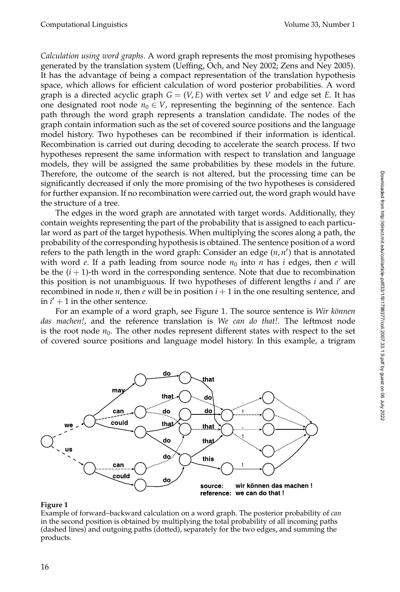*Calculation using word graphs.* A word graph represents the most promising hypotheses generated by the translation system (Ueffing, Och, and Ney 2002; Zens and Ney 2005). It has the advantage of being a compact representation of the translation hypothesis space, which allows for efficient calculation of word posterior probabilities. A word graph is a directed acyclic graph  $G = (V, E)$  with vertex set *V* and edge set *E*. It has one designated root node  $n_0 \in V$ , representing the beginning of the sentence. Each path through the word graph represents a translation candidate. The nodes of the graph contain information such as the set of covered source positions and the language model history. Two hypotheses can be recombined if their information is identical. Recombination is carried out during decoding to accelerate the search process. If two hypotheses represent the same information with respect to translation and language models, they will be assigned the same probabilities by these models in the future. Therefore, the outcome of the search is not altered, but the processing time can be significantly decreased if only the more promising of the two hypotheses is considered for further expansion. If no recombination were carried out, the word graph would have the structure of a tree.

The edges in the word graph are annotated with target words. Additionally, they contain weights representing the part of the probability that is assigned to each particular word as part of the target hypothesis. When multiplying the scores along a path, the probability of the corresponding hypothesis is obtained. The sentence position of a word refers to the path length in the word graph: Consider an edge  $(n, n')$  that is annotated with word  $e$ . If a path leading from source node  $n_0$  into  $n$  has  $i$  edges, then  $e$  will be the  $(i + 1)$ -th word in the corresponding sentence. Note that due to recombination this position is not unambiguous. If two hypotheses of different lengths *i* and *i'* are recombined in node  $n$ , then  $e$  will be in position  $i + 1$  in the one resulting sentence, and in  $i' + 1$  in the other sentence.

For an example of a word graph, see Figure 1. The source sentence is *Wir können das machen!*, and the reference translation is *We can do that!*. The leftmost node is the root node  $n_0$ . The other nodes represent different states with respect to the set of covered source positions and language model history. In this example, a trigram



#### **Figure 1**

Example of forward–backward calculation on a word graph. The posterior probability of *can* in the second position is obtained by multiplying the total probability of all incoming paths (dashed lines) and outgoing paths (dotted), separately for the two edges, and summing the products.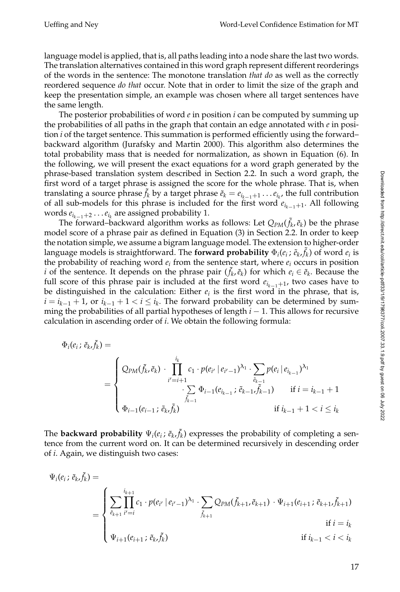language model is applied, that is, all paths leading into a node share the last two words. The translation alternatives contained in this word graph represent different reorderings of the words in the sentence: The monotone translation *that do* as well as the correctly reordered sequence *do that* occur. Note that in order to limit the size of the graph and keep the presentation simple, an example was chosen where all target sentences have the same length.

The posterior probabilities of word *e* in position *i* can be computed by summing up the probabilities of all paths in the graph that contain an edge annotated with *e* in position *i* of the target sentence. This summation is performed efficiently using the forward– backward algorithm (Jurafsky and Martin 2000). This algorithm also determines the total probability mass that is needed for normalization, as shown in Equation (6). In the following, we will present the exact equations for a word graph generated by the phrase-based translation system described in Section 2.2. In such a word graph, the first word of a target phrase is assigned the score for the whole phrase. That is, when translating a source phrase  $\tilde{f}_k$  by a target phrase  $\tilde{e}_k = e_{i_{k-1}+1} \dots e_{i_k}$ , the full contribution of all sub-models for this phrase is included for the first word *eik*−1<sup>+</sup>1. All following words  $e_{i_{k-1}+2} \dots e_{i_k}$  are assigned probability 1.

The forward–backward algorithm works as follows: Let  $Q_{PM}(\tilde{f}_k, \tilde{e}_k)$  be the phrase model score of a phrase pair as defined in Equation (3) in Section 2.2. In order to keep the notation simple, we assume a bigram language model. The extension to higher-order language models is straightforward. The **forward probability**  $\Phi_i(e_i;\tilde{e}_k,\tilde{f}_k)$  of word  $e_i$  is the probability of reaching word  $e_i$  from the sentence start, where  $e_i$  occurs in position *i* of the sentence. It depends on the phrase pair  $(\tilde{f}_k, \tilde{e}_k)$  for which  $e_i \in \tilde{e}_k$ . Because the full score of this phrase pair is included at the first word  $e_{i_{k-1}+1}$ , two cases have to be distinguished in the calculation: Either  $e_i$  is the first word in the phrase, that is, *i* =  $i_{k-1}$  + 1, or  $i_{k-1}$  + 1 < *i* ≤  $i_k$ . The forward probability can be determined by summing the probabilities of all partial hypotheses of length *i* − 1. This allows for recursive calculation in ascending order of *i*. We obtain the following formula:

$$
\Phi_{i}(e_{i}; \tilde{e}_{k}, \tilde{f}_{k}) = \n\begin{cases}\nQ_{PM}(\tilde{f}_{k}, \tilde{e}_{k}) \cdot \prod_{i'=i+1}^{i_{k}} c_{1} \cdot p(e_{i'} | e_{i'-1})^{\lambda_{1}} \cdot \sum_{\tilde{e}_{k-1}} p(e_{i} | e_{i_{k-1}})^{\lambda_{1}} \\
\cdot \sum_{\tilde{f}_{k-1}} \Phi_{i-1}(e_{i_{k-1}}; \tilde{e}_{k-1}, \tilde{f}_{k-1}) \quad \text{if } i = i_{k-1} + 1 \\
\Phi_{i-1}(e_{i-1}; \tilde{e}_{k}, \tilde{f}_{k}) \quad \text{if } i_{k-1} + 1 < i \leq i_{k}\n\end{cases}
$$

The **backward probability**  $\Psi_i(e_i; \tilde{e}_k, \tilde{f}_k)$  expresses the probability of completing a sentence from the current word on. It can be determined recursively in descending order of *i*. Again, we distinguish two cases:

$$
\Psi_{i}(e_{i}; \tilde{e}_{k}, \tilde{f}_{k}) = \begin{cases}\n\sum_{\tilde{e}_{k+1}} \prod_{i'=i}^{i_{k+1}} c_{1} \cdot p(e_{i'} | e_{i'-1})^{\lambda_{1}} \cdot \sum_{\tilde{f}_{k+1}} Q_{PM}(\tilde{f}_{k+1}, \tilde{e}_{k+1}) \cdot \Psi_{i+1}(e_{i+1}; \tilde{e}_{k+1}, \tilde{f}_{k+1}) \\
\vdots \\
\Psi_{i+1}(e_{i+1}; \tilde{e}_{k}, \tilde{f}_{k})\n\end{cases}
$$
 if  $i = i_{k}$   
if  $i_{k-1} < i < i_{k}$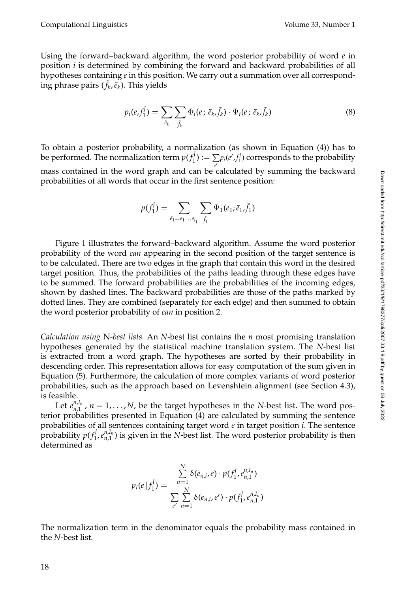Using the forward–backward algorithm, the word posterior probability of word *e* in position *i* is determined by combining the forward and backward probabilities of all hypotheses containing *e* in this position. We carry out a summation over all corresponding phrase pairs  $(\tilde{f}_k, \tilde{e}_k)$ . This yields

$$
p_i(e, f_1^f) = \sum_{\tilde{e}_k} \sum_{\tilde{f}_k} \Phi_i(e; \tilde{e}_k, \tilde{f}_k) \cdot \Psi_i(e; \tilde{e}_k, \tilde{f}_k)
$$
(8)

To obtain a posterior probability, a normalization (as shown in Equation (4)) has to be performed. The normalization term  $p(f_1^I) := \sum_{e'} p_i(e', f_1^I)$  corresponds to the probability mass contained in the word graph and can be calculated by summing the backward probabilities of all words that occur in the first sentence position:

$$
p(f_1^J) = \sum_{\tilde{e}_1 = e_1 \dots e_{i_1}} \sum_{\tilde{f}_1} \Psi_1(e_1; \tilde{e}_1, \tilde{f}_1)
$$

Figure 1 illustrates the forward–backward algorithm. Assume the word posterior probability of the word *can* appearing in the second position of the target sentence is to be calculated. There are two edges in the graph that contain this word in the desired target position. Thus, the probabilities of the paths leading through these edges have to be summed. The forward probabilities are the probabilities of the incoming edges, shown by dashed lines. The backward probabilities are those of the paths marked by dotted lines. They are combined (separately for each edge) and then summed to obtain the word posterior probability of *can* in position 2.

*Calculation using* N*-best lists.* An *N*-best list contains the *n* most promising translation hypotheses generated by the statistical machine translation system. The *N*-best list is extracted from a word graph. The hypotheses are sorted by their probability in descending order. This representation allows for easy computation of the sum given in Equation (5). Furthermore, the calculation of more complex variants of word posterior probabilities, such as the approach based on Levenshtein alignment (see Section 4.3), is feasible.

Let  $e_{n,1}^{n,I_n}$ ,  $n = 1, ..., N$ , be the target hypotheses in the *N*-best list. The word posterior probabilities presented in Equation (4) are calculated by summing the sentence probabilities of all sentences containing target word *e* in target position *i*. The sentence probability  $p(f_1^f, e_{n,1}^{n,I_n})$  is given in the *N*-best list. The word posterior probability is then determined as

$$
p_i(e|f_1^J) = \frac{\sum_{n=1}^N \delta(e_{n,i}, e) \cdot p(f_1^J, e_{n,1}^{n, I_n})}{\sum_{e'} \sum_{n=1}^N \delta(e_{n,i}, e') \cdot p(f_1^J, e_{n,1}^{n, I_n})}
$$

The normalization term in the denominator equals the probability mass contained in the *N*-best list.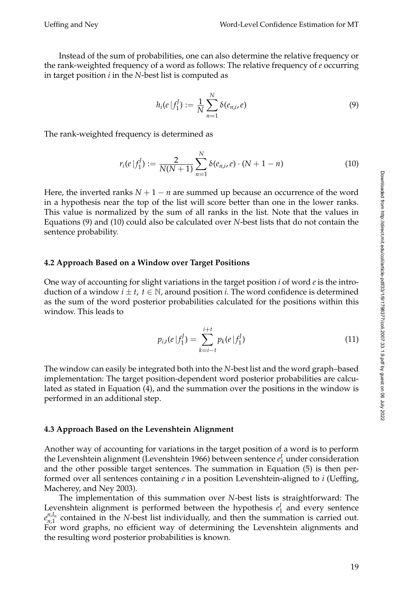Instead of the sum of probabilities, one can also determine the relative frequency or the rank-weighted frequency of a word as follows: The relative frequency of *e* occurring in target position *i* in the *N*-best list is computed as

$$
h_i(e \mid f_1^j) := \frac{1}{N} \sum_{n=1}^N \delta(e_{n,i}, e) \tag{9}
$$

The rank-weighted frequency is determined as

$$
r_i(e|f_1^I) := \frac{2}{N(N+1)} \sum_{n=1}^N \delta(e_{n,i}, e) \cdot (N+1-n)
$$
 (10)

Here, the inverted ranks  $N + 1 - n$  are summed up because an occurrence of the word in a hypothesis near the top of the list will score better than one in the lower ranks. This value is normalized by the sum of all ranks in the list. Note that the values in Equations (9) and (10) could also be calculated over *N*-best lists that do not contain the sentence probability.

#### **4.2 Approach Based on a Windowover Target Positions**

One way of accounting for slight variations in the target position *i* of word *e* is the introduction of a window  $i \pm t$ ,  $t \in \mathbb{N}$ , around position *i*. The word confidence is determined as the sum of the word posterior probabilities calculated for the positions within this window. This leads to

$$
p_{i,t}(e|f_1^J) = \sum_{k=i-t}^{i+t} p_k(e|f_1^J)
$$
\n(11)

The window can easily be integrated both into the *N*-best list and the word graph–based implementation: The target position-dependent word posterior probabilities are calculated as stated in Equation (4), and the summation over the positions in the window is performed in an additional step.

#### **4.3 Approach Based on the Levenshtein Alignment**

Another way of accounting for variations in the target position of a word is to perform the Levenshtein alignment (Levenshtein 1966) between sentence  $e_1^I$  under consideration and the other possible target sentences. The summation in Equation (5) is then performed over all sentences containing *e* in a position Levenshtein-aligned to *i* (Ueffing, Macherey, and Ney 2003).

The implementation of this summation over *N*-best lists is straightforward: The Levenshtein alignment is performed between the hypothesis  $e_1^I$  and every sentence  $e_{n,1}^{n,I_n}$  contained in the *N*-best list individually, and then the summation is carried out. For word graphs, no efficient way of determining the Levenshtein alignments and the resulting word posterior probabilities is known.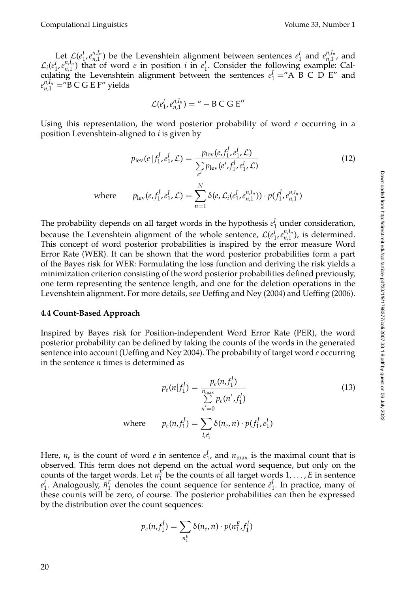Let  $\mathcal{L}(e_1^I, e_{n,1}^{n,I_n})$  be the Levenshtein alignment between sentences  $e_1^I$  and  $e_{n,1}^{n,I_n}$ , and  $\mathcal{L}_i(e_1^I, e_{n,1}^{n,I_n})$  that of word *e* in position *i* in  $e_1^I$ . Consider the following example: Calculating the Levenshtein alignment between the sentences  $e_1^I = "A \ B \ C \ D \ E"$  and  $e_{n,1}^{n,I_n}$  = "B C G E F" yields

$$
\mathcal{L}(e_1^I, e_{n,1}^{n,I_n}) = " - B C G E''
$$

Using this representation, the word posterior probability of word *e* occurring in a position Levenshtein-aligned to *i* is given by

$$
p_{\text{lev}}(e \mid f_1^J, e_1^I, \mathcal{L}) = \frac{p_{\text{lev}}(e, f_1^J, e_1^I, \mathcal{L})}{\sum_{e'} p_{\text{lev}}(e', f_1^J, e_1^I, \mathcal{L})}
$$
(12)

 $w<sup>h</sup>$ 

here 
$$
p_{\text{lev}}(e, f_1^J, e_1^I, \mathcal{L}) = \sum_{n=1}^N \delta(e, \mathcal{L}_i(e_1^I, e_{n,1}^{n,I_n})) \cdot p(f_1^J, e_{n,1}^{n,I_n})
$$

The probability depends on all target words in the hypothesis  $e_1^I$  under consideration, because the Levenshtein alignment of the whole sentence,  $\mathcal{L}(e_1^I, e_{n,1}^{n,I_n})$ , is determined. This concept of word posterior probabilities is inspired by the error measure Word Error Rate (WER). It can be shown that the word posterior probabilities form a part of the Bayes risk for WER: Formulating the loss function and deriving the risk yields a minimization criterion consisting of the word posterior probabilities defined previously, one term representing the sentence length, and one for the deletion operations in the Levenshtein alignment. For more details, see Ueffing and Ney (2004) and Ueffing (2006).

#### **4.4 Count-Based Approach**

Inspired by Bayes risk for Position-independent Word Error Rate (PER), the word posterior probability can be defined by taking the counts of the words in the generated sentence into account (Ueffing and Ney 2004). The probability of target word *e* occurring in the sentence *n* times is determined as

$$
p_e(n|f_1^I) = \frac{p_e(n, f_1^I)}{\sum_{n'=0}^{n_{\text{max}}} p_e(n', f_1^I)}
$$
(13)

where 
$$
p_e(n, f_1^f) = \sum_{I, e_1^I} \delta(n_e, n) \cdot p(f_1^f, e_1^I)
$$

Here,  $n_e$  is the count of word *e* in sentence  $e_1^I$ , and  $n_{\text{max}}$  is the maximal count that is observed. This term does not depend on the actual word sequence, but only on the counts of the target words. Let  $n_1^E$  be the counts of all target words  $1, \ldots, E$  in sentence  $e_1^I$ . Analogously,  $\tilde{n}_1^E$  denotes the count sequence for sentence  $\tilde{e}_1^{\tilde{I}}$ . In practice, many of these counts will be zero, of course. The posterior probabilities can then be expressed by the distribution over the count sequences:

$$
p_e(n, f_1^J) = \sum_{n_1^E} \delta(n_e, n) \cdot p(n_1^E, f_1^J)
$$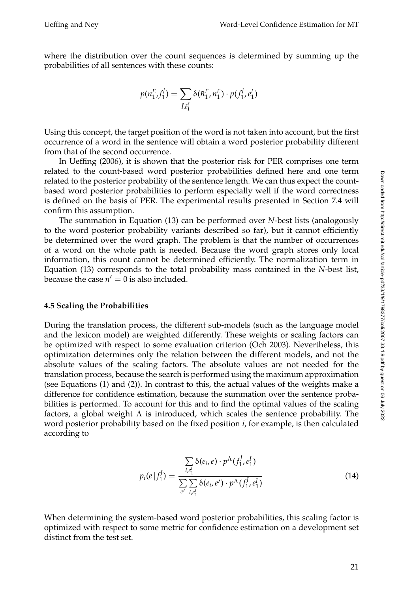where the distribution over the count sequences is determined by summing up the probabilities of all sentences with these counts:

$$
p(n_1^E, f_1^J) = \sum_{\tilde{I}, \tilde{e}_1^{\tilde{I}}} \delta(\tilde{n}_1^E, n_1^E) \cdot p(f_1^J, e_1^I)
$$

Using this concept, the target position of the word is not taken into account, but the first occurrence of a word in the sentence will obtain a word posterior probability different from that of the second occurrence.

In Ueffing (2006), it is shown that the posterior risk for PER comprises one term related to the count-based word posterior probabilities defined here and one term related to the posterior probability of the sentence length. We can thus expect the countbased word posterior probabilities to perform especially well if the word correctness is defined on the basis of PER. The experimental results presented in Section 7.4 will confirm this assumption.

The summation in Equation (13) can be performed over *N*-best lists (analogously to the word posterior probability variants described so far), but it cannot efficiently be determined over the word graph. The problem is that the number of occurrences of a word on the whole path is needed. Because the word graph stores only local information, this count cannot be determined efficiently. The normalization term in Equation (13) corresponds to the total probability mass contained in the *N*-best list, because the case  $n' = 0$  is also included.

#### **4.5 Scaling the Probabilities**

During the translation process, the different sub-models (such as the language model and the lexicon model) are weighted differently. These weights or scaling factors can be optimized with respect to some evaluation criterion (Och 2003). Nevertheless, this optimization determines only the relation between the different models, and not the absolute values of the scaling factors. The absolute values are not needed for the translation process, because the search is performed using the maximum approximation (see Equations (1) and (2)). In contrast to this, the actual values of the weights make a difference for confidence estimation, because the summation over the sentence probabilities is performed. To account for this and to find the optimal values of the scaling factors, a global weight  $\Lambda$  is introduced, which scales the sentence probability. The word posterior probability based on the fixed position *i*, for example, is then calculated according to

$$
p_i(e|f_1^J) = \frac{\sum_{l,e_1^I} \delta(e_i, e) \cdot p^{\Lambda}(f_1^J, e_1^I)}{\sum_{e'} \sum_{l,e_1^I} \delta(e_i, e') \cdot p^{\Lambda}(f_1^J, e_1^I)}
$$
(14)

When determining the system-based word posterior probabilities, this scaling factor is optimized with respect to some metric for confidence estimation on a development set distinct from the test set.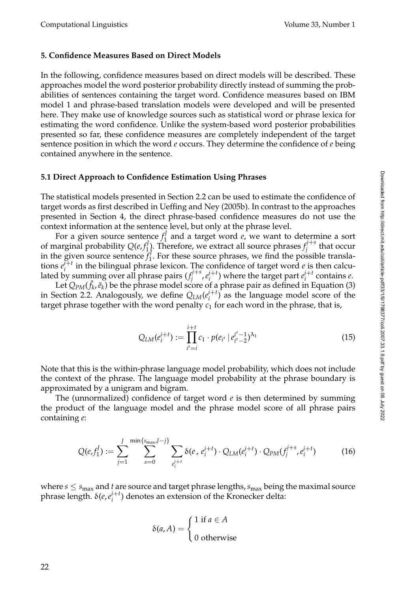#### **5. Confidence Measures Based on Direct Models**

In the following, confidence measures based on direct models will be described. These approaches model the word posterior probability directly instead of summing the probabilities of sentences containing the target word. Confidence measures based on IBM model 1 and phrase-based translation models were developed and will be presented here. They make use of knowledge sources such as statistical word or phrase lexica for estimating the word confidence. Unlike the system-based word posterior probabilities presented so far, these confidence measures are completely independent of the target sentence position in which the word *e* occurs. They determine the confidence of *e* being contained anywhere in the sentence.

### **5.1 Direct Approach to Confidence Estimation Using Phrases**

The statistical models presented in Section 2.2 can be used to estimate the confidence of target words as first described in Ueffing and Ney (2005b). In contrast to the approaches presented in Section 4, the direct phrase-based confidence measures do not use the context information at the sentence level, but only at the phrase level.

For a given source sentence  $f_1^f$  and a target word  $e$ , we want to determine a sort of marginal probability  $Q(e, f_1)$ . Therefore, we extract all source phrases  $f_j^{j+s}$  that occur in the given source sentence  $f_1^J$ . For these source phrases, we find the possible translations  $e_i^{i+t}$  in the bilingual phrase lexicon. The confidence of target word *e* is then calculated by summing over all phrase pairs  $(f_j^{j+s}, e_i^{i+t})$  where the target part  $e_i^{i+t}$  contains *e*.

Let  $Q_{PM}(\tilde{f}_k, \tilde{e}_k)$  be the phrase model score of a phrase pair as defined in Equation (3) in Section 2.2. Analogously, we define  $Q_{LM}(e_i^{i+t})$  as the language model score of the target phrase together with the word penalty  $c_1$  for each word in the phrase, that is,

$$
Q_{LM}(e_i^{i+t}) := \prod_{i'=i}^{i+t} c_1 \cdot p(e_{i'} \mid e_{i'-2}^{i'-1})^{\lambda_1}
$$
 (15)

Note that this is the within-phrase language model probability, which does not include the context of the phrase. The language model probability at the phrase boundary is approximated by a unigram and bigram.

The (unnormalized) confidence of target word  $e$  is then determined by summing the product of the language model and the phrase model score of all phrase pairs containing *e*:

$$
Q(e, f_1^J) := \sum_{j=1}^J \sum_{s=0}^{\min\{s_{\max}, J-j\}} \sum_{e_i^{i+1}} \delta(e, e_i^{i+1}) \cdot Q_{LM}(e_i^{i+1}) \cdot Q_{PM}(f_j^{j+s}, e_i^{i+1}) \tag{16}
$$

where  $s \leq s_{\text{max}}$  and *t* are source and target phrase lengths,  $s_{\text{max}}$  being the maximal source phrase length.  $\delta(e, e_i^{i+t})$  denotes an extension of the Kronecker delta:

$$
\delta(a, A) = \begin{cases} 1 \text{ if } a \in A \\ 0 \text{ otherwise} \end{cases}
$$

Downloaded from http://direct.mit.edu/coli/article-pdf33/1/9/1798377/coli.2007.33.1.9.pdf by guest on 06 July 2022 Downloaded from http://direct.mit.edu/coli/article-pdf/33/1/9/1798377/coli.2007.33.1.9.pdf by guest on 06 July 2022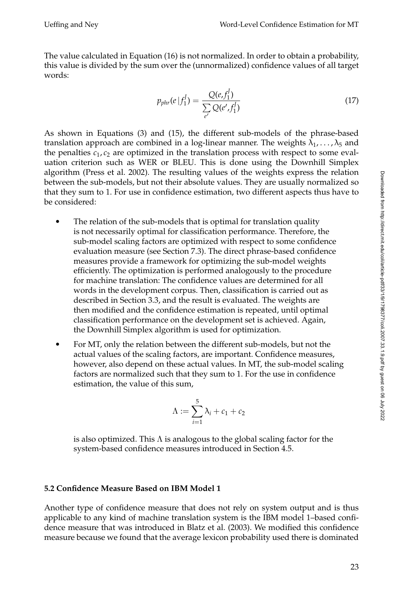The value calculated in Equation (16) is not normalized. In order to obtain a probability, this value is divided by the sum over the (unnormalized) confidence values of all target words:

$$
p_{\text{phr}}(e \, | \, f_1^I) = \frac{Q(e, f_1^I)}{\sum_{e'} Q(e', f_1^I)}
$$
\n(17)

As shown in Equations (3) and (15), the different sub-models of the phrase-based translation approach are combined in a log-linear manner. The weights  $\lambda_1, \ldots, \lambda_5$  and the penalties  $c_1, c_2$  are optimized in the translation process with respect to some evaluation criterion such as WER or BLEU. This is done using the Downhill Simplex algorithm (Press et al. 2002). The resulting values of the weights express the relation between the sub-models, but not their absolute values. They are usually normalized so that they sum to 1. For use in confidence estimation, two different aspects thus have to be considered:

- The relation of the sub-models that is optimal for translation quality is not necessarily optimal for classification performance. Therefore, the sub-model scaling factors are optimized with respect to some confidence evaluation measure (see Section 7.3). The direct phrase-based confidence measures provide a framework for optimizing the sub-model weights efficiently. The optimization is performed analogously to the procedure for machine translation: The confidence values are determined for all words in the development corpus. Then, classification is carried out as described in Section 3.3, and the result is evaluated. The weights are then modified and the confidence estimation is repeated, until optimal classification performance on the development set is achieved. Again, the Downhill Simplex algorithm is used for optimization.
- For MT, only the relation between the different sub-models, but not the actual values of the scaling factors, are important. Confidence measures, however, also depend on these actual values. In MT, the sub-model scaling factors are normalized such that they sum to 1. For the use in confidence estimation, the value of this sum,

$$
\Lambda := \sum_{i=1}^{5} \lambda_i + c_1 + c_2
$$

is also optimized. This  $\Lambda$  is analogous to the global scaling factor for the system-based confidence measures introduced in Section 4.5.

## **5.2 Confidence Measure Based on IBM Model 1**

Another type of confidence measure that does not rely on system output and is thus applicable to any kind of machine translation system is the IBM model 1–based confidence measure that was introduced in Blatz et al. (2003). We modified this confidence measure because we found that the average lexicon probability used there is dominated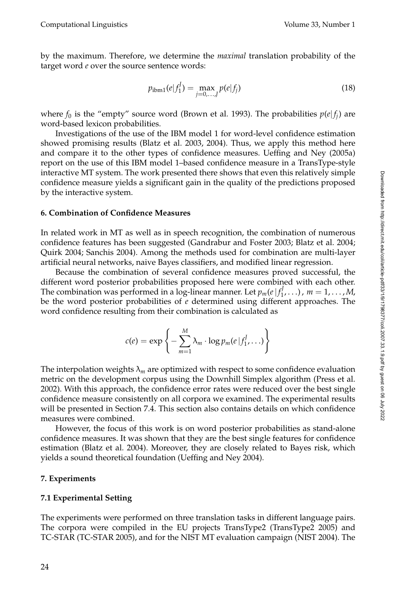by the maximum. Therefore, we determine the *maximal* translation probability of the target word *e* over the source sentence words:

$$
p_{\text{ibm1}}(e|f_1^f) = \max_{j=0,...,I} p(e|f_j)
$$
\n(18)

where  $f_0$  is the "empty" source word (Brown et al. 1993). The probabilities  $p(e|f_i)$  are word-based lexicon probabilities.

Investigations of the use of the IBM model 1 for word-level confidence estimation showed promising results (Blatz et al. 2003, 2004). Thus, we apply this method here and compare it to the other types of confidence measures. Ueffing and Ney (2005a) report on the use of this IBM model 1–based confidence measure in a TransType-style interactive MT system. The work presented there shows that even this relatively simple confidence measure yields a significant gain in the quality of the predictions proposed by the interactive system.

#### **6. Combination of Confidence Measures**

In related work in MT as well as in speech recognition, the combination of numerous confidence features has been suggested (Gandrabur and Foster 2003; Blatz et al. 2004; Quirk 2004; Sanchis 2004). Among the methods used for combination are multi-layer artificial neural networks, naive Bayes classifiers, and modified linear regression.

Because the combination of several confidence measures proved successful, the different word posterior probabilities proposed here were combined with each other. The combination was performed in a log-linear manner. Let  $p_m(e|f_1^f,...)$ ,  $m = 1,...,M$ , be the word posterior probabilities of *e* determined using different approaches. The word confidence resulting from their combination is calculated as

$$
c(e) = \exp\left\{-\sum_{m=1}^{M} \lambda_m \cdot \log p_m(e | f_1^J,\ldots)\right\}
$$

The interpolation weights  $\lambda_m$  are optimized with respect to some confidence evaluation metric on the development corpus using the Downhill Simplex algorithm (Press et al. 2002). With this approach, the confidence error rates were reduced over the best single confidence measure consistently on all corpora we examined. The experimental results will be presented in Section 7.4. This section also contains details on which confidence measures were combined.

However, the focus of this work is on word posterior probabilities as stand-alone confidence measures. It was shown that they are the best single features for confidence estimation (Blatz et al. 2004). Moreover, they are closely related to Bayes risk, which yields a sound theoretical foundation (Ueffing and Ney 2004).

## **7. Experiments**

## **7.1 Experimental Setting**

The experiments were performed on three translation tasks in different language pairs. The corpora were compiled in the EU projects TransType2 (TransType2 2005) and TC-STAR (TC-STAR 2005), and for the NIST MT evaluation campaign (NIST 2004). The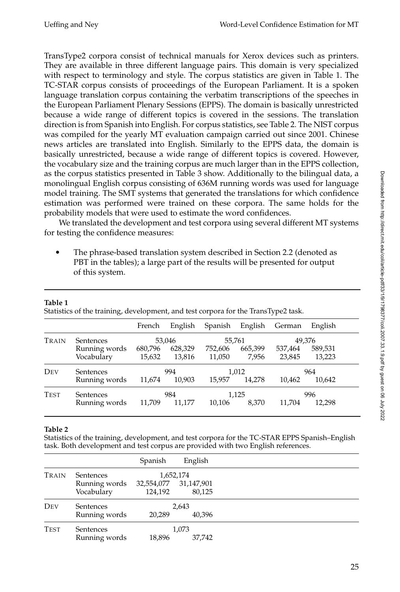TransType2 corpora consist of technical manuals for Xerox devices such as printers. They are available in three different language pairs. This domain is very specialized with respect to terminology and style. The corpus statistics are given in Table 1. The TC-STAR corpus consists of proceedings of the European Parliament. It is a spoken language translation corpus containing the verbatim transcriptions of the speeches in the European Parliament Plenary Sessions (EPPS). The domain is basically unrestricted because a wide range of different topics is covered in the sessions. The translation direction is from Spanish into English. For corpus statistics, see Table 2. The NIST corpus was compiled for the yearly MT evaluation campaign carried out since 2001. Chinese news articles are translated into English. Similarly to the EPPS data, the domain is basically unrestricted, because a wide range of different topics is covered. However, the vocabulary size and the training corpus are much larger than in the EPPS collection, as the corpus statistics presented in Table 3 show. Additionally to the bilingual data, a monolingual English corpus consisting of 636M running words was used for language model training. The SMT systems that generated the translations for which confidence estimation was performed were trained on these corpora. The same holds for the probability models that were used to estimate the word confidences.

We translated the development and test corpora using several different MT systems for testing the confidence measures:

 The phrase-based translation system described in Section 2.2 (denoted as PBT in the tables); a large part of the results will be presented for output of this system.

|              | biausines of the training, development, and test corpora for the fransfypez task. |         |         |         |         |         |         |  |  |
|--------------|-----------------------------------------------------------------------------------|---------|---------|---------|---------|---------|---------|--|--|
|              |                                                                                   | French  | English | Spanish | English | German  | English |  |  |
| <b>TRAIN</b> | Sentences                                                                         |         | 53.046  | 55,761  |         | 49.376  |         |  |  |
|              | Running words                                                                     | 680,796 | 628,329 | 752,606 | 665,399 | 537,464 | 589,531 |  |  |
|              | Vocabulary                                                                        | 15,632  | 13,816  | 11,050  | 7,956   | 23,845  | 13,223  |  |  |
| DEV          | Sentences                                                                         | 994     |         |         | 1.012   | 964     |         |  |  |
|              | Running words                                                                     | 11,674  | 10,903  | 15,957  | 14,278  | 10,462  | 10,642  |  |  |
| <b>TEST</b>  | Sentences                                                                         |         | 984     |         | 1,125   |         | 996     |  |  |
|              | Running words                                                                     | 11,709  | 11,177  | 10,106  | 8,370   | 11,704  | 12,298  |  |  |

**Table 1** Statistics of the training, development, and test corpora for the TransType2 task.

#### **Table 2**

Statistics of the training, development, and test corpora for the TC-STAR EPPS Spanish–English task. Both development and test corpus are provided with two English references.

|              |               | Spanish               | English   |
|--------------|---------------|-----------------------|-----------|
| <b>TRAIN</b> | Sentences     |                       | 1,652,174 |
|              | Running words | 32,554,077 31,147,901 |           |
|              | Vocabulary    | 124,192               | 80.125    |
| DEV          | Sentences     |                       | 2,643     |
|              | Running words | 20.289                | 40.396    |
| <b>TEST</b>  | Sentences     |                       | 1,073     |
|              | Running words | 18,896                | 37.742    |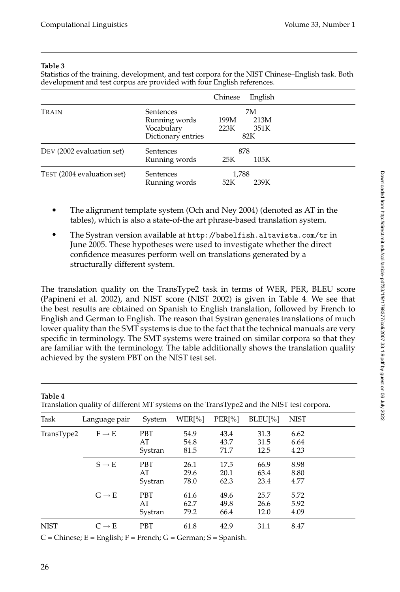#### **Table 3**

Statistics of the training, development, and test corpora for the NIST Chinese–English task. Both development and test corpus are provided with four English references.

|                            |                                                                | Chinese<br>English                        |  |
|----------------------------|----------------------------------------------------------------|-------------------------------------------|--|
| <b>TRAIN</b>               | Sentences<br>Running words<br>Vocabulary<br>Dictionary entries | 7M<br>199M<br>213M<br>223K<br>351K<br>82K |  |
| DEV (2002 evaluation set)  | Sentences<br>Running words                                     | 878<br>105K<br>25K                        |  |
| TEST (2004 evaluation set) | Sentences<br>Running words                                     | 1,788<br>239K<br>52K                      |  |

- The alignment template system (Och and Ney 2004)(denoted as AT in the tables), which is also a state-of-the art phrase-based translation system.
- The Systran version available at http://babelfish.altavista.com/tr in June 2005. These hypotheses were used to investigate whether the direct confidence measures perform well on translations generated by a structurally different system.

The translation quality on the TransType2 task in terms of WER, PER, BLEU score (Papineni et al. 2002), and NIST score (NIST 2002) is given in Table 4. We see that the best results are obtained on Spanish to English translation, followed by French to English and German to English. The reason that Systran generates translations of much lower quality than the SMT systems is due to the fact that the technical manuals are very specific in terminology. The SMT systems were trained on similar corpora so that they are familiar with the terminology. The table additionally shows the translation quality achieved by the system PBT on the NIST test set.

| Translation quality of different MT systems on the TransType2 and the NIST test corpora. |                   |                             |                      |                      |                      |                      |  |  |  |
|------------------------------------------------------------------------------------------|-------------------|-----------------------------|----------------------|----------------------|----------------------|----------------------|--|--|--|
| Task                                                                                     | Language pair     | System                      | WER <sup>[%]</sup>   | PER <sub>[%]</sub>   | BLEU[%]              | <b>NIST</b>          |  |  |  |
| TransType2                                                                               | $F \rightarrow F$ | <b>PBT</b><br>AT<br>Systran | 54.9<br>54.8<br>81.5 | 43.4<br>43.7<br>71.7 | 31.3<br>31.5<br>12.5 | 6.62<br>6.64<br>4.23 |  |  |  |
|                                                                                          | $S \rightarrow E$ | <b>PBT</b><br>AT<br>Systran | 26.1<br>29.6<br>78.0 | 17.5<br>20.1<br>62.3 | 66.9<br>63.4<br>23.4 | 8.98<br>8.80<br>4.77 |  |  |  |
|                                                                                          | $G \rightarrow E$ | <b>PBT</b><br>AT<br>Systran | 61.6<br>62.7<br>79.2 | 49.6<br>49.8<br>66.4 | 25.7<br>26.6<br>12.0 | 5.72<br>5.92<br>4.09 |  |  |  |
| <b>NIST</b>                                                                              | $C \rightarrow E$ | <b>PBT</b>                  | 61.8                 | 42.9                 | 31.1                 | 8.47                 |  |  |  |

 $C =$ Chinese;  $E =$  English;  $F =$  French;  $G =$  German;  $S =$  Spanish.

**Table 4**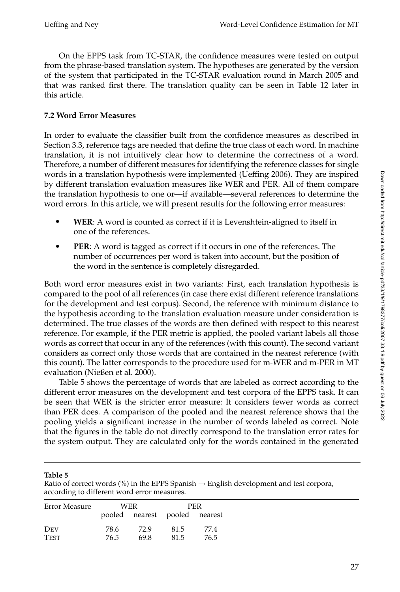On the EPPS task from TC-STAR, the confidence measures were tested on output from the phrase-based translation system. The hypotheses are generated by the version of the system that participated in the TC-STAR evaluation round in March 2005 and that was ranked first there. The translation quality can be seen in Table 12 later in this article.

## **7.2 Word Error Measures**

In order to evaluate the classifier built from the confidence measures as described in Section 3.3, reference tags are needed that define the true class of each word. In machine translation, it is not intuitively clear how to determine the correctness of a word. Therefore, a number of different measures for identifying the reference classes for single words in a translation hypothesis were implemented (Ueffing 2006). They are inspired by different translation evaluation measures like WER and PER. All of them compare the translation hypothesis to one or—if available—several references to determine the word errors. In this article, we will present results for the following error measures:

- **WER**: A word is counted as correct if it is Levenshtein-aligned to itself in one of the references.
- **PER**: A word is tagged as correct if it occurs in one of the references. The number of occurrences per word is taken into account, but the position of the word in the sentence is completely disregarded.

Both word error measures exist in two variants: First, each translation hypothesis is compared to the pool of all references (in case there exist different reference translations for the development and test corpus). Second, the reference with minimum distance to the hypothesis according to the translation evaluation measure under consideration is determined. The true classes of the words are then defined with respect to this nearest reference. For example, if the PER metric is applied, the pooled variant labels all those words as correct that occur in any of the references (with this count). The second variant considers as correct only those words that are contained in the nearest reference (with this count). The latter corresponds to the procedure used for m-WER and m-PER in MT evaluation (Nießen et al. 2000).

Table 5 shows the percentage of words that are labeled as correct according to the different error measures on the development and test corpora of the EPPS task. It can be seen that WER is the stricter error measure: It considers fewer words as correct than PER does. A comparison of the pooled and the nearest reference shows that the pooling yields a significant increase in the number of words labeled as correct. Note that the figures in the table do not directly correspond to the translation error rates for the system output. They are calculated only for the words contained in the generated

#### **Table 5**

Ratio of correct words (%) in the EPPS Spanish  $\rightarrow$  English development and test corpora, according to different word error measures.

| Error Measure | WER  |                               | PER  |      |
|---------------|------|-------------------------------|------|------|
|               |      | pooled nearest pooled nearest |      |      |
| DEV           | 78.6 | 72.9                          | 81.5 | 77.4 |
| <b>TEST</b>   | 76.5 | 69.8                          | 81.5 | 76.5 |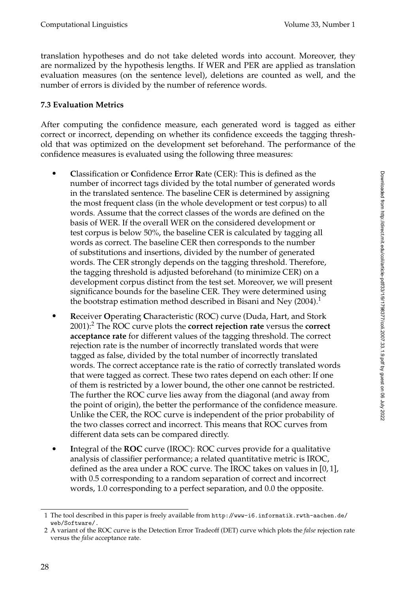translation hypotheses and do not take deleted words into account. Moreover, they are normalized by the hypothesis lengths. If WER and PER are applied as translation evaluation measures (on the sentence level), deletions are counted as well, and the number of errors is divided by the number of reference words.

## **7.3 Evaluation Metrics**

After computing the confidence measure, each generated word is tagged as either correct or incorrect, depending on whether its confidence exceeds the tagging threshold that was optimized on the development set beforehand. The performance of the confidence measures is evaluated using the following three measures:

- **C**lassification or **C**onfidence **E**rror **R**ate (CER): This is defined as the number of incorrect tags divided by the total number of generated words in the translated sentence. The baseline CER is determined by assigning the most frequent class (in the whole development or test corpus) to all words. Assume that the correct classes of the words are defined on the basis of WER. If the overall WER on the considered development or test corpus is below 50%, the baseline CER is calculated by tagging all words as correct. The baseline CER then corresponds to the number of substitutions and insertions, divided by the number of generated words. The CER strongly depends on the tagging threshold. Therefore, the tagging threshold is adjusted beforehand (to minimize CER) on a development corpus distinct from the test set. Moreover, we will present significance bounds for the baseline CER. They were determined using the bootstrap estimation method described in Bisani and Ney  $(2004).$ <sup>1</sup>
- **Receiver Operating Characteristic (ROC) curve (Duda, Hart, and Stork** 2001):<sup>2</sup> The ROC curve plots the **correct rejection rate** versus the **correct acceptance rate** for different values of the tagging threshold. The correct rejection rate is the number of incorrectly translated words that were tagged as false, divided by the total number of incorrectly translated words. The correct acceptance rate is the ratio of correctly translated words that were tagged as correct. These two rates depend on each other: If one of them is restricted by a lower bound, the other one cannot be restricted. The further the ROC curve lies away from the diagonal (and away from the point of origin), the better the performance of the confidence measure. Unlike the CER, the ROC curve is independent of the prior probability of the two classes correct and incorrect. This means that ROC curves from different data sets can be compared directly.
- **I**ntegral of the **ROC** curve (IROC): ROC curves provide for a qualitative analysis of classifier performance; a related quantitative metric is IROC, defined as the area under a ROC curve. The IROC takes on values in [0, 1], with 0.5 corresponding to a random separation of correct and incorrect words, 1.0 corresponding to a perfect separation, and 0.0 the opposite.

<sup>1</sup> The tool described in this paper is freely available from http://www-i6.informatik.rwth-aachen.de/ web/Software/.

<sup>2</sup> A variant of the ROC curve is the Detection Error Tradeoff (DET) curve which plots the *false* rejection rate versus the *false* acceptance rate.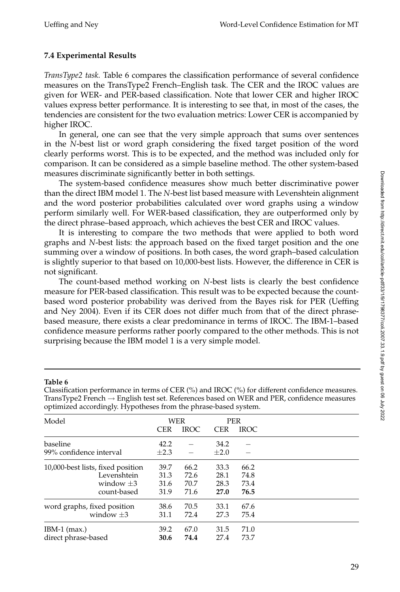## **7.4 Experimental Results**

*TransType2 task.* Table 6 compares the classification performance of several confidence measures on the TransType2 French–English task. The CER and the IROC values are given for WER- and PER-based classification. Note that lower CER and higher IROC values express better performance. It is interesting to see that, in most of the cases, the tendencies are consistent for the two evaluation metrics: Lower CER is accompanied by higher IROC.

In general, one can see that the very simple approach that sums over sentences in the *N*-best list or word graph considering the fixed target position of the word clearly performs worst. This is to be expected, and the method was included only for comparison. It can be considered as a simple baseline method. The other system-based measures discriminate significantly better in both settings.

The system-based confidence measures show much better discriminative power than the direct IBM model 1. The *N*-best list based measure with Levenshtein alignment and the word posterior probabilities calculated over word graphs using a window perform similarly well. For WER-based classification, they are outperformed only by the direct phrase–based approach, which achieves the best CER and IROC values.

It is interesting to compare the two methods that were applied to both word graphs and *N*-best lists: the approach based on the fixed target position and the one summing over a window of positions. In both cases, the word graph–based calculation is slightly superior to that based on 10,000-best lists. However, the difference in CER is not significant.

The count-based method working on *N*-best lists is clearly the best confidence measure for PER-based classification. This result was to be expected because the countbased word posterior probability was derived from the Bayes risk for PER (Ueffing and Ney 2004). Even if its CER does not differ much from that of the direct phrasebased measure, there exists a clear predominance in terms of IROC. The IBM-1–based confidence measure performs rather poorly compared to the other methods. This is not surprising because the IBM model 1 is a very simple model.

## **Table 6**

| op innered accordingly. Tryp officiely from the prime calcular operation |                                  |      |                                         |      |  |  |  |  |
|--------------------------------------------------------------------------|----------------------------------|------|-----------------------------------------|------|--|--|--|--|
| Model                                                                    | WER<br><b>IROC</b><br><b>CER</b> |      | <b>PER</b><br><b>CER</b><br><b>IROC</b> |      |  |  |  |  |
| baseline<br>99% confidence interval                                      | 42.2<br>$\pm 2.3$                |      | 34.2<br>$\pm 2.0$                       |      |  |  |  |  |
| 10,000-best lists, fixed position                                        | 39.7                             | 66.2 | 33.3                                    | 66.2 |  |  |  |  |
| Levenshtein                                                              | 31.3                             | 72.6 | 28.1                                    | 74.8 |  |  |  |  |
| window $\pm 3$                                                           | 31.6                             | 70.7 | 28.3                                    | 73.4 |  |  |  |  |
| count-based                                                              | 31.9                             | 71.6 | 27.0                                    | 76.5 |  |  |  |  |
| word graphs, fixed position                                              | 38.6                             | 70.5 | 33.1                                    | 67.6 |  |  |  |  |
| window $\pm 3$                                                           | 31.1                             | 72.4 | 27.3                                    | 75.4 |  |  |  |  |
| $IBM-1$ (max.)                                                           | 39.2                             | 67.0 | 31.5                                    | 71.0 |  |  |  |  |
| direct phrase-based                                                      | 30.6                             | 74.4 | 27.4                                    | 73.7 |  |  |  |  |

Classification performance in terms of CER  $(\%)$  and IROC  $(\%)$  for different confidence measures. TransType2 French → English test set. References based on WER and PER, confidence measures optimized accordingly. Hypotheses from the phrase-based system.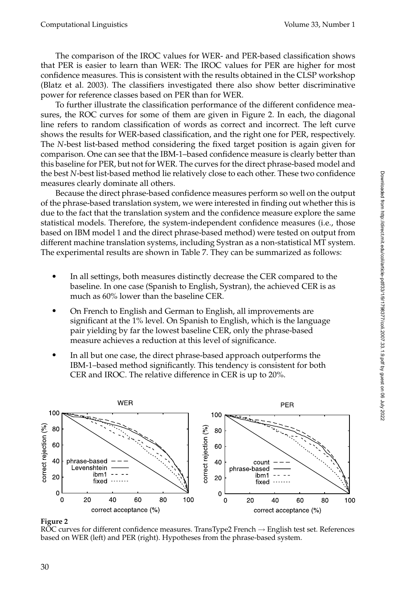The comparison of the IROC values for WER- and PER-based classification shows that PER is easier to learn than WER: The IROC values for PER are higher for most confidence measures. This is consistent with the results obtained in the CLSP workshop (Blatz et al. 2003). The classifiers investigated there also show better discriminative power for reference classes based on PER than for WER.

To further illustrate the classification performance of the different confidence measures, the ROC curves for some of them are given in Figure 2. In each, the diagonal line refers to random classification of words as correct and incorrect. The left curve shows the results for WER-based classification, and the right one for PER, respectively. The *N*-best list-based method considering the fixed target position is again given for comparison. One can see that the IBM-1–based confidence measure is clearly better than this baseline for PER, but not for WER. The curves for the direct phrase-based model and the best *N*-best list-based method lie relatively close to each other. These two confidence measures clearly dominate all others.

Because the direct phrase-based confidence measures perform so well on the output of the phrase-based translation system, we were interested in finding out whether this is due to the fact that the translation system and the confidence measure explore the same statistical models. Therefore, the system-independent confidence measures (i.e., those based on IBM model 1 and the direct phrase-based method) were tested on output from different machine translation systems, including Systran as a non-statistical MT system. The experimental results are shown in Table 7. They can be summarized as follows:

- In all settings, both measures distinctly decrease the CER compared to the baseline. In one case (Spanish to English, Systran), the achieved CER is as much as 60% lower than the baseline CER.
- On French to English and German to English, all improvements are significant at the 1% level. On Spanish to English, which is the language pair yielding by far the lowest baseline CER, only the phrase-based measure achieves a reduction at this level of significance.
- In all but one case, the direct phrase-based approach outperforms the IBM-1–based method significantly. This tendency is consistent for both CER and IROC. The relative difference in CER is up to 20%.



#### **Figure 2**

ROC curves for different confidence measures. TransType2 French → English test set. References based on WER (left) and PER (right). Hypotheses from the phrase-based system.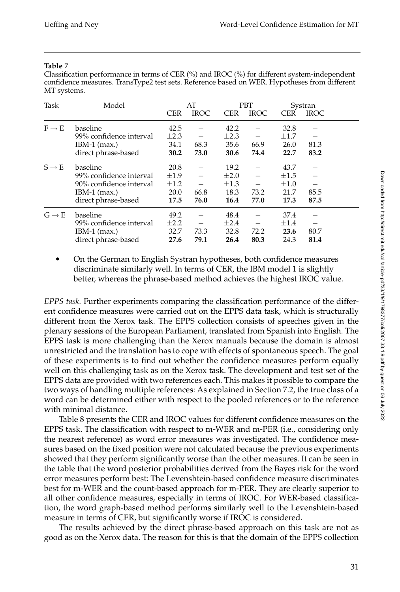### **Table 7**

Classification performance in terms of CER (%) and IROC (%) for different system-independent confidence measures. TransType2 test sets. Reference based on WER. Hypotheses from different MT systems.

| Task              | Model                                                                                                   | <b>CER</b>                                     | AT<br><b>IROC</b> | <b>CER</b>                                     | <b>PBT</b><br><b>IROC</b> | <b>CER</b>                                     | Systran<br><b>IROC</b> |  |
|-------------------|---------------------------------------------------------------------------------------------------------|------------------------------------------------|-------------------|------------------------------------------------|---------------------------|------------------------------------------------|------------------------|--|
| $F \rightarrow E$ | baseline<br>99% confidence interval<br>$IBM-1$ (max.)<br>direct phrase-based                            | 42.5<br>$\pm 2.3$<br>34.1<br>30.2              | 68.3<br>73.0      | 42.2<br>$\pm 2.3$<br>35.6<br>30.6              | 66.9<br>74.4              | 32.8<br>$\pm 1.7$<br>26.0<br>22.7              | 81.3<br>83.2           |  |
| $S \rightarrow E$ | baseline<br>99% confidence interval<br>90% confidence interval<br>$IBM-1$ (max.)<br>direct phrase-based | 20.8<br>$\pm 1.9$<br>$\pm 1.2$<br>20.0<br>17.5 | 66.8<br>76.0      | 19.2<br>$\pm 2.0$<br>$\pm 1.3$<br>18.3<br>16.4 | 73.2<br>77.0              | 43.7<br>$\pm 1.5$<br>$\pm 1.0$<br>21.7<br>17.3 | 85.5<br>87.5           |  |
| $G \rightarrow E$ | baseline<br>99% confidence interval<br>$IBM-1$ (max.)<br>direct phrase-based                            | 49.2<br>$\pm 2.2$<br>32.7<br>27.6              | 73.3<br>79.1      | 48.4<br>$\pm 2.4$<br>32.8<br>26.4              | 72.2<br>80.3              | 37.4<br>$\pm 1.4$<br>23.6<br>24.3              | 80.7<br>81.4           |  |

 On the German to English Systran hypotheses, both confidence measures discriminate similarly well. In terms of CER, the IBM model 1 is slightly better, whereas the phrase-based method achieves the highest IROC value.

*EPPS task.* Further experiments comparing the classification performance of the different confidence measures were carried out on the EPPS data task, which is structurally different from the Xerox task. The EPPS collection consists of speeches given in the plenary sessions of the European Parliament, translated from Spanish into English. The EPPS task is more challenging than the Xerox manuals because the domain is almost unrestricted and the translation has to cope with effects of spontaneous speech. The goal of these experiments is to find out whether the confidence measures perform equally well on this challenging task as on the Xerox task. The development and test set of the EPPS data are provided with two references each. This makes it possible to compare the two ways of handling multiple references: As explained in Section 7.2, the true class of a word can be determined either with respect to the pooled references or to the reference with minimal distance.

Table 8 presents the CER and IROC values for different confidence measures on the EPPS task. The classification with respect to m-WER and m-PER (i.e., considering only the nearest reference) as word error measures was investigated. The confidence measures based on the fixed position were not calculated because the previous experiments showed that they perform significantly worse than the other measures. It can be seen in the table that the word posterior probabilities derived from the Bayes risk for the word error measures perform best: The Levenshtein-based confidence measure discriminates best for m-WER and the count-based approach for m-PER. They are clearly superior to all other confidence measures, especially in terms of IROC. For WER-based classification, the word graph-based method performs similarly well to the Levenshtein-based measure in terms of CER, but significantly worse if IROC is considered.

The results achieved by the direct phrase-based approach on this task are not as good as on the Xerox data. The reason for this is that the domain of the EPPS collection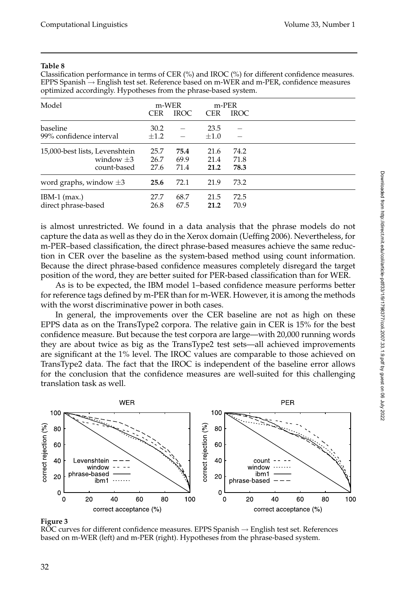#### **Table 8**

Classification performance in terms of CER (%) and IROC (%) for different confidence measures. EPPS Spanish → English test set. Reference based on m-WER and m-PER, confidence measures optimized accordingly. Hypotheses from the phrase-based system.

| Model                                                        | m-WER<br><b>IROC</b><br><b>CER</b> |                      | $m-PER$<br><b>CER</b><br><b>IROC</b> |                      |  |
|--------------------------------------------------------------|------------------------------------|----------------------|--------------------------------------|----------------------|--|
| baseline<br>99% confidence interval                          | 30.2<br>$\pm 1.2$                  |                      | 23.5<br>$\pm 1.0$                    |                      |  |
| 15,000-best lists, Levenshtein<br>window $+3$<br>count-based | 25.7<br>26.7<br>27.6               | 75.4<br>69.9<br>71.4 | 21.6<br>21.4<br>21.2                 | 74.2<br>71.8<br>78.3 |  |
| word graphs, window $\pm 3$                                  | 25.6                               | 72.1                 | 21.9                                 | 73.2                 |  |
| $IBM-1$ (max.)<br>direct phrase-based                        | 27.7<br>26.8                       | 68.7<br>67.5         | 21.5<br>21.2                         | 72.5<br>70.9         |  |

is almost unrestricted. We found in a data analysis that the phrase models do not capture the data as well as they do in the Xerox domain (Ueffing 2006). Nevertheless, for m-PER–based classification, the direct phrase-based measures achieve the same reduction in CER over the baseline as the system-based method using count information. Because the direct phrase-based confidence measures completely disregard the target position of the word, they are better suited for PER-based classification than for WER.

As is to be expected, the IBM model 1–based confidence measure performs better for reference tags defined by m-PER than for m-WER. However, it is among the methods with the worst discriminative power in both cases.

In general, the improvements over the CER baseline are not as high on these EPPS data as on the TransType2 corpora. The relative gain in CER is 15% for the best confidence measure. But because the test corpora are large—with 20,000 running words they are about twice as big as the TransType2 test sets—all achieved improvements are significant at the 1% level. The IROC values are comparable to those achieved on TransType2 data. The fact that the IROC is independent of the baseline error allows for the conclusion that the confidence measures are well-suited for this challenging translation task as well.



#### **Figure 3**

ROC curves for different confidence measures. EPPS Spanish  $\rightarrow$  English test set. References based on m-WER (left) and m-PER (right). Hypotheses from the phrase-based system.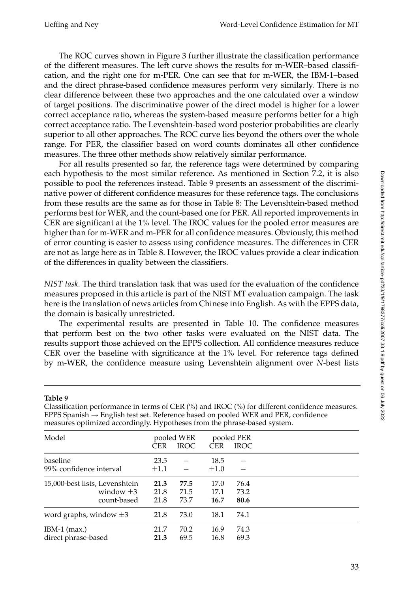The ROC curves shown in Figure 3 further illustrate the classification performance of the different measures. The left curve shows the results for m-WER–based classification, and the right one for m-PER. One can see that for m-WER, the IBM-1–based and the direct phrase-based confidence measures perform very similarly. There is no clear difference between these two approaches and the one calculated over a window of target positions. The discriminative power of the direct model is higher for a lower correct acceptance ratio, whereas the system-based measure performs better for a high correct acceptance ratio. The Levenshtein-based word posterior probabilities are clearly superior to all other approaches. The ROC curve lies beyond the others over the whole range. For PER, the classifier based on word counts dominates all other confidence measures. The three other methods show relatively similar performance.

For all results presented so far, the reference tags were determined by comparing each hypothesis to the most similar reference. As mentioned in Section 7.2, it is also possible to pool the references instead. Table 9 presents an assessment of the discriminative power of different confidence measures for these reference tags. The conclusions from these results are the same as for those in Table 8: The Levenshtein-based method performs best for WER, and the count-based one for PER. All reported improvements in CER are significant at the 1% level. The IROC values for the pooled error measures are higher than for m-WER and m-PER for all confidence measures. Obviously, this method of error counting is easier to assess using confidence measures. The differences in CER are not as large here as in Table 8. However, the IROC values provide a clear indication of the differences in quality between the classifiers.

*NIST task.* The third translation task that was used for the evaluation of the confidence measures proposed in this article is part of the NIST MT evaluation campaign. The task here is the translation of news articles from Chinese into English. As with the EPPS data, the domain is basically unrestricted.

The experimental results are presented in Table 10. The confidence measures that perform best on the two other tasks were evaluated on the NIST data. The results support those achieved on the EPPS collection. All confidence measures reduce CER over the baseline with significance at the 1% level. For reference tags defined by m-WER, the confidence measure using Levenshtein alignment over *N*-best lists

#### **Table 9**

| Classification performance in terms of CER (%) and IROC (%) for different confidence measures. |
|------------------------------------------------------------------------------------------------|
| EPPS Spanish $\rightarrow$ English test set. Reference based on pooled WER and PER, confidence |
| measures optimized accordingly. Hypotheses from the phrase-based system.                       |

| Model                                                           | pooled WER<br>CER<br><b>IROC</b> |                      | pooled PER<br><b>CER</b><br><b>IROC</b> |                      |  |
|-----------------------------------------------------------------|----------------------------------|----------------------|-----------------------------------------|----------------------|--|
| baseline<br>99% confidence interval                             | 23.5<br>$\pm 1.1$                |                      | 18.5<br>$+1.0$                          |                      |  |
| 15,000-best lists, Levenshtein<br>window $\pm 3$<br>count-based | 21.3<br>21.8<br>21.8             | 77.5<br>71.5<br>73.7 | 17.0<br>17.1<br>16.7                    | 76.4<br>73.2<br>80.6 |  |
| word graphs, window $\pm 3$                                     | 21.8                             | 73.0                 | 18.1                                    | 74.1                 |  |
| $IBM-1$ (max.)<br>direct phrase-based                           | 21.7<br>21.3                     | 70.2<br>69.5         | 16.9<br>16.8                            | 74.3<br>69.3         |  |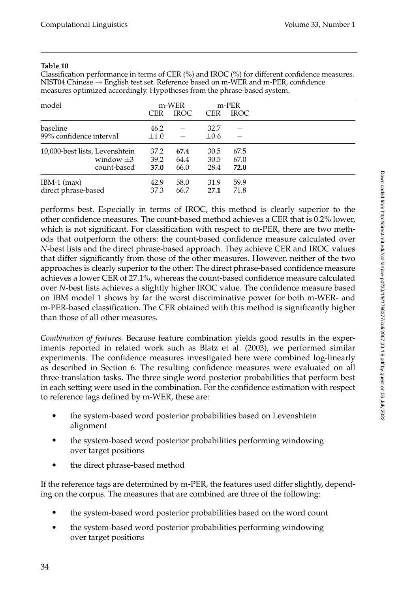#### **Table 10**

Classification performance in terms of CER (%) and IROC (%) for different confidence measures. NIST04 Chinese → English test set. Reference based on m-WER and m-PER, confidence measures optimized accordingly. Hypotheses from the phrase-based system.

| model                                                           | m-WER<br><b>IROC</b><br><b>CER</b> |                      | m-PER<br><b>IROC</b><br><b>CER</b> |                      |
|-----------------------------------------------------------------|------------------------------------|----------------------|------------------------------------|----------------------|
| baseline<br>99% confidence interval                             | 46.2<br>$\pm 1.0$                  |                      | 32.7<br>$\pm 0.6$                  |                      |
| 10,000-best lists, Levenshtein<br>window $\pm 3$<br>count-based | 37.2<br>39.2<br>37.0               | 67.4<br>64.4<br>66.0 | 30.5<br>30.5<br>28.4               | 67.5<br>67.0<br>72.0 |
| $IBM-1$ (max)<br>direct phrase-based                            | 42.9<br>37.3                       | 58.0<br>66.7         | 31.9<br>27.1                       | 59.9<br>71.8         |

performs best. Especially in terms of IROC, this method is clearly superior to the other confidence measures. The count-based method achieves a CER that is 0.2% lower, which is not significant. For classification with respect to m-PER, there are two methods that outperform the others: the count-based confidence measure calculated over *N*-best lists and the direct phrase-based approach. They achieve CER and IROC values that differ significantly from those of the other measures. However, neither of the two approaches is clearly superior to the other: The direct phrase-based confidence measure achieves a lower CER of 27.1%, whereas the count-based confidence measure calculated over *N*-best lists achieves a slightly higher IROC value. The confidence measure based on IBM model 1 shows by far the worst discriminative power for both m-WER- and m-PER-based classification. The CER obtained with this method is significantly higher than those of all other measures.

*Combination of features.* Because feature combination yields good results in the experiments reported in related work such as Blatz et al. (2003), we performed similar experiments. The confidence measures investigated here were combined log-linearly as described in Section 6. The resulting confidence measures were evaluated on all three translation tasks. The three single word posterior probabilities that perform best in each setting were used in the combination. For the confidence estimation with respect to reference tags defined by m-WER, these are:

- the system-based word posterior probabilities based on Levenshtein alignment
- the system-based word posterior probabilities performing windowing over target positions
- the direct phrase-based method

If the reference tags are determined by m-PER, the features used differ slightly, depending on the corpus. The measures that are combined are three of the following:

- the system-based word posterior probabilities based on the word count
- the system-based word posterior probabilities performing windowing over target positions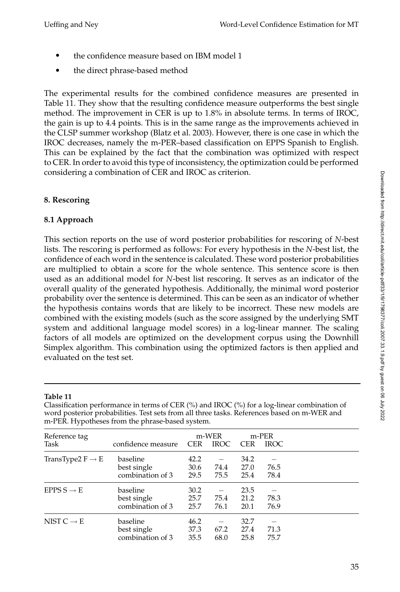- the confidence measure based on IBM model 1
- the direct phrase-based method

The experimental results for the combined confidence measures are presented in Table 11. They show that the resulting confidence measure outperforms the best single method. The improvement in CER is up to 1.8% in absolute terms. In terms of IROC, the gain is up to 4.4 points. This is in the same range as the improvements achieved in the CLSP summer workshop (Blatz et al. 2003). However, there is one case in which the IROC decreases, namely the m-PER–based classification on EPPS Spanish to English. This can be explained by the fact that the combination was optimized with respect to CER. In order to avoid this type of inconsistency, the optimization could be performed considering a combination of CER and IROC as criterion.

## **8. Rescoring**

## **8.1 Approach**

This section reports on the use of word posterior probabilities for rescoring of *N*-best lists. The rescoring is performed as follows: For every hypothesis in the *N*-best list, the confidence of each word in the sentence is calculated. These word posterior probabilities are multiplied to obtain a score for the whole sentence. This sentence score is then used as an additional model for *N*-best list rescoring. It serves as an indicator of the overall quality of the generated hypothesis. Additionally, the minimal word posterior probability over the sentence is determined. This can be seen as an indicator of whether the hypothesis contains words that are likely to be incorrect. These new models are combined with the existing models (such as the score assigned by the underlying SMT system and additional language model scores) in a log-linear manner. The scaling factors of all models are optimized on the development corpus using the Downhill Simplex algorithm. This combination using the optimized factors is then applied and evaluated on the test set.

## **Table 11**

| Word posterior probabilities. Test sets from all three tasks. References based on m-WER and<br>m-PER. Hypotheses from the phrase-based system. |                                             |                                    |              |                                    |              |  |  |  |  |
|------------------------------------------------------------------------------------------------------------------------------------------------|---------------------------------------------|------------------------------------|--------------|------------------------------------|--------------|--|--|--|--|
| Reference tag<br>Task                                                                                                                          | confidence measure                          | m-WER<br><b>IROC</b><br><b>CER</b> |              | m-PER<br><b>CER</b><br><b>IROC</b> |              |  |  |  |  |
| TransType2 $F \rightarrow E$                                                                                                                   | baseline<br>best single<br>combination of 3 | 42.2<br>30.6<br>29.5               | 74.4<br>75.5 | 34.2<br>27.0<br>25.4               | 76.5<br>78.4 |  |  |  |  |
| EPPS $S \rightarrow E$                                                                                                                         | baseline<br>best single<br>combination of 3 | 30.2<br>25.7<br>25.7               | 75.4<br>76.1 | 23.5<br>21.2<br>20.1               | 78.3<br>76.9 |  |  |  |  |
| NIST $C \rightarrow E$                                                                                                                         | baseline<br>best single<br>combination of 3 | 46.2<br>37.3<br>35.5               | 67.2<br>68.0 | 32.7<br>27.4<br>25.8               | 71.3<br>75.7 |  |  |  |  |

Classification performance in terms of CER (%) and IROC (%) for a log-linear combination of word posterior probabilities. Test sets from all three tasks. References based on m-WER and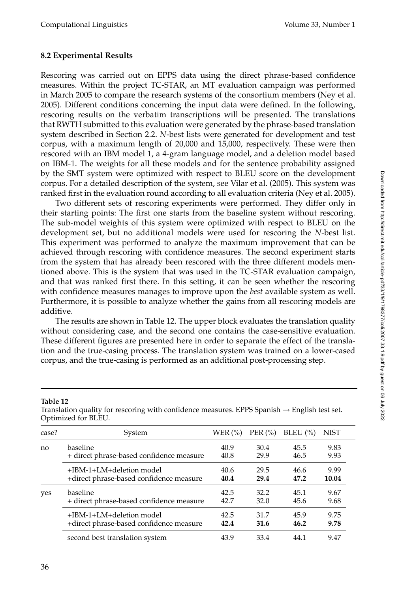## **8.2 Experimental Results**

Rescoring was carried out on EPPS data using the direct phrase-based confidence measures. Within the project TC-STAR, an MT evaluation campaign was performed in March 2005 to compare the research systems of the consortium members (Ney et al. 2005). Different conditions concerning the input data were defined. In the following, rescoring results on the verbatim transcriptions will be presented. The translations that RWTH submitted to this evaluation were generated by the phrase-based translation system described in Section 2.2. *N*-best lists were generated for development and test corpus, with a maximum length of 20,000 and 15,000, respectively. These were then rescored with an IBM model 1, a 4-gram language model, and a deletion model based on IBM-1. The weights for all these models and for the sentence probability assigned by the SMT system were optimized with respect to BLEU score on the development corpus. For a detailed description of the system, see Vilar et al. (2005). This system was ranked first in the evaluation round according to all evaluation criteria (Ney et al. 2005).

Two different sets of rescoring experiments were performed. They differ only in their starting points: The first one starts from the baseline system without rescoring. The sub-model weights of this system were optimized with respect to BLEU on the development set, but no additional models were used for rescoring the *N*-best list. This experiment was performed to analyze the maximum improvement that can be achieved through rescoring with confidence measures. The second experiment starts from the system that has already been rescored with the three different models mentioned above. This is the system that was used in the TC-STAR evaluation campaign, and that was ranked first there. In this setting, it can be seen whether the rescoring with confidence measures manages to improve upon the *best* available system as well. Furthermore, it is possible to analyze whether the gains from all rescoring models are additive.

The results are shown in Table 12. The upper block evaluates the translation quality without considering case, and the second one contains the case-sensitive evaluation. These different figures are presented here in order to separate the effect of the translation and the true-casing process. The translation system was trained on a lower-cased corpus, and the true-casing is performed as an additional post-processing step.

#### **Table 12**

| case? | System                                                              | WER $(\% )$  | PER $(\% )$  | $BLEU$ $(\%)$ | NIST          |  |
|-------|---------------------------------------------------------------------|--------------|--------------|---------------|---------------|--|
| no    | baseline<br>+ direct phrase-based confidence measure                | 40.9<br>40.8 | 30.4<br>29.9 | 45.5<br>46.5  | 9.83<br>9.93  |  |
|       | +IBM-1+LM+deletion model<br>+direct phrase-based confidence measure | 40.6<br>40.4 | 29.5<br>29.4 | 46.6<br>47.2  | 9.99<br>10.04 |  |
| yes   | baseline<br>+ direct phrase-based confidence measure                | 42.5<br>42.7 | 32.2<br>32.0 | 45.1<br>45.6  | 9.67<br>9.68  |  |
|       | +IBM-1+LM+deletion model<br>+direct phrase-based confidence measure | 42.5<br>42.4 | 31.7<br>31.6 | 45.9<br>46.2  | 9.75<br>9.78  |  |
|       | second best translation system                                      | 43.9         | 33.4         | 44.1          | 9.47          |  |

Translation quality for rescoring with confidence measures. EPPS Spanish  $\rightarrow$  English test set. Optimized for BLEU.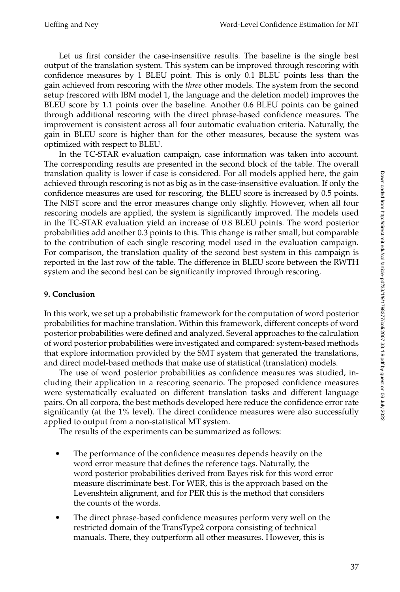Let us first consider the case-insensitive results. The baseline is the single best output of the translation system. This system can be improved through rescoring with confidence measures by 1 BLEU point. This is only 0.1 BLEU points less than the gain achieved from rescoring with the *three* other models. The system from the second setup (rescored with IBM model 1, the language and the deletion model) improves the BLEU score by 1.1 points over the baseline. Another 0.6 BLEU points can be gained through additional rescoring with the direct phrase-based confidence measures. The improvement is consistent across all four automatic evaluation criteria. Naturally, the gain in BLEU score is higher than for the other measures, because the system was optimized with respect to BLEU.

In the TC-STAR evaluation campaign, case information was taken into account. The corresponding results are presented in the second block of the table. The overall translation quality is lower if case is considered. For all models applied here, the gain achieved through rescoring is not as big as in the case-insensitive evaluation. If only the confidence measures are used for rescoring, the BLEU score is increased by 0.5 points. The NIST score and the error measures change only slightly. However, when all four rescoring models are applied, the system is significantly improved. The models used in the TC-STAR evaluation yield an increase of 0.8 BLEU points. The word posterior probabilities add another 0.3 points to this. This change is rather small, but comparable to the contribution of each single rescoring model used in the evaluation campaign. For comparison, the translation quality of the second best system in this campaign is reported in the last row of the table. The difference in BLEU score between the RWTH system and the second best can be significantly improved through rescoring.

## **9. Conclusion**

In this work, we set up a probabilistic framework for the computation of word posterior probabilities for machine translation. Within this framework, different concepts of word posterior probabilities were defined and analyzed. Several approaches to the calculation of word posterior probabilities were investigated and compared: system-based methods that explore information provided by the SMT system that generated the translations, and direct model-based methods that make use of statistical (translation) models.

The use of word posterior probabilities as confidence measures was studied, including their application in a rescoring scenario. The proposed confidence measures were systematically evaluated on different translation tasks and different language pairs. On all corpora, the best methods developed here reduce the confidence error rate significantly (at the 1% level). The direct confidence measures were also successfully applied to output from a non-statistical MT system.

The results of the experiments can be summarized as follows:

- The performance of the confidence measures depends heavily on the word error measure that defines the reference tags. Naturally, the word posterior probabilities derived from Bayes risk for this word error measure discriminate best. For WER, this is the approach based on the Levenshtein alignment, and for PER this is the method that considers the counts of the words.
- The direct phrase-based confidence measures perform very well on the restricted domain of the TransType2 corpora consisting of technical manuals. There, they outperform all other measures. However, this is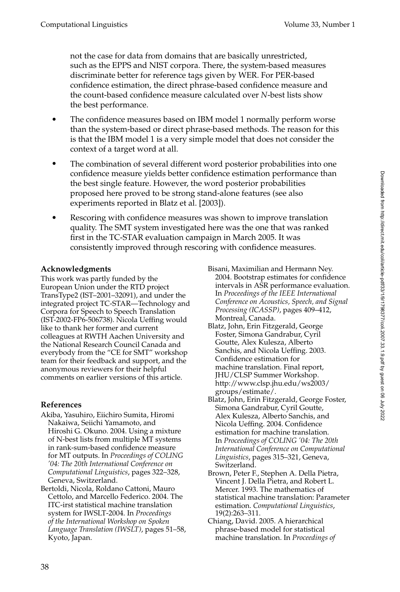not the case for data from domains that are basically unrestricted, such as the EPPS and NIST corpora. There, the system-based measures discriminate better for reference tags given by WER. For PER-based confidence estimation, the direct phrase-based confidence measure and the count-based confidence measure calculated over *N*-best lists show the best performance.

- The confidence measures based on IBM model 1 normally perform worse than the system-based or direct phrase-based methods. The reason for this is that the IBM model 1 is a very simple model that does not consider the context of a target word at all.
- The combination of several different word posterior probabilities into one confidence measure yields better confidence estimation performance than the best single feature. However, the word posterior probabilities proposed here proved to be strong stand-alone features (see also experiments reported in Blatz et al. [2003]).
- Rescoring with confidence measures was shown to improve translation quality. The SMT system investigated here was the one that was ranked first in the TC-STAR evaluation campaign in March 2005. It was consistently improved through rescoring with confidence measures.

### **Acknowledgments**

This work was partly funded by the European Union under the RTD project TransType2 (IST–2001–32091), and under the integrated project TC-STAR—Technology and Corpora for Speech to Speech Translation (IST-2002-FP6-506738). Nicola Ueffing would like to thank her former and current colleagues at RWTH Aachen University and the National Research Council Canada and everybody from the "CE for SMT" workshop team for their feedback and support, and the anonymous reviewers for their helpful comments on earlier versions of this article.

## **References**

- Akiba, Yasuhiro, Eiichiro Sumita, Hiromi Nakaiwa, Seiichi Yamamoto, and Hiroshi G. Okuno. 2004. Using a mixture of N-best lists from multiple MT systems in rank-sum-based confidence measure for MT outputs. In *Proceedings of COLING '04: The 20th International Conference on Computational Linguistics*, pages 322–328, Geneva, Switzerland.
- Bertoldi, Nicola, Roldano Cattoni, Mauro Cettolo, and Marcello Federico. 2004. The ITC-irst statistical machine translation system for IWSLT-2004. In *Proceedings of the International Workshop on Spoken Language Translation (IWSLT)*, pages 51–58, Kyoto, Japan.
- Bisani, Maximilian and Hermann Ney. 2004. Bootstrap estimates for confidence intervals in ASR performance evaluation. In *Proceedings of the IEEE International Conference on Acoustics,Speech,and Signal Processing (ICASSP)*, pages 409–412, Montreal, Canada.
- Blatz, John, Erin Fitzgerald, George Foster, Simona Gandrabur, Cyril Goutte, Alex Kulesza, Alberto Sanchis, and Nicola Ueffing. 2003. Confidence estimation for machine translation. Final report, JHU/CLSP Summer Workshop. http://www.clsp.jhu.edu/ws2003/ groups/estimate/.
- Blatz, John, Erin Fitzgerald, George Foster, Simona Gandrabur, Cyril Goutte, Alex Kulesza, Alberto Sanchis, and Nicola Ueffing. 2004. Confidence estimation for machine translation. In *Proceedings of COLING '04: The 20th International Conference on Computational Linguistics*, pages 315–321, Geneva, Switzerland.
- Brown, Peter F., Stephen A. Della Pietra, Vincent J. Della Pietra, and Robert L. Mercer. 1993. The mathematics of statistical machine translation: Parameter estimation. *Computational Linguistics*, 19(2):263–311.
- Chiang, David. 2005. A hierarchical phrase-based model for statistical machine translation. In *Proceedings of*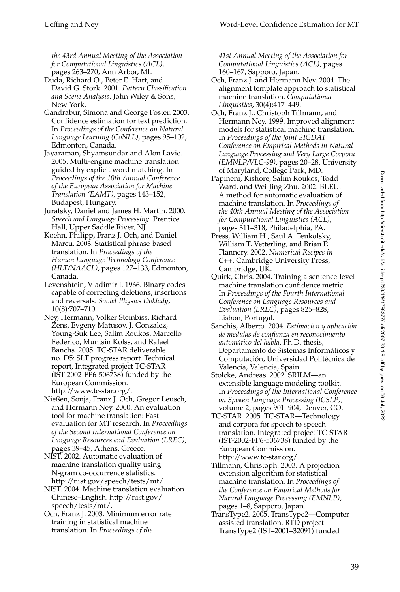*the 43rd Annual Meeting of the Association for Computational Linguistics (ACL)*, pages 263–270, Ann Arbor, MI.

- Duda, Richard O., Peter E. Hart, and David G. Stork. 2001. *Pattern Classification and Scene Analysis*. John Wiley & Sons, New York.
- Gandrabur, Simona and George Foster. 2003. Confidence estimation for text prediction. In *Proceedings of the Conference on Natural Language Learning (CoNLL)*, pages 95–102, Edmonton, Canada.
- Jayaraman, Shyamsundar and Alon Lavie. 2005. Multi-engine machine translation guided by explicit word matching. In *Proceedings of the 10th Annual Conference of the European Association for Machine Translation (EAMT)*, pages 143–152, Budapest, Hungary.
- Jurafsky, Daniel and James H. Martin. 2000. *Speech and Language Processing*. Prentice Hall, Upper Saddle River, NJ.
- Koehn, Philipp, Franz J. Och, and Daniel Marcu. 2003. Statistical phrase-based translation. In *Proceedings of the Human Language Technology Conference (HLT/NAACL)*, pages 127–133, Edmonton, Canada.
- Levenshtein, Vladimir I. 1966. Binary codes capable of correcting deletions, insertions and reversals. *Soviet Physics Doklady*, 10(8):707–710.
- Ney, Hermann, Volker Steinbiss, Richard Zens, Evgeny Matusov, J. Gonzalez, Young-Suk Lee, Salim Roukos, Marcello Federico, Muntsin Kolss, and Rafael Banchs. 2005. TC-STAR deliverable no. D5: SLT progress report. Technical report, Integrated project TC-STAR (IST-2002-FP6-506738) funded by the European Commission. http://www.tc-star.org/.
- Nießen, Sonja, Franz J. Och, Gregor Leusch, and Hermann Ney. 2000. An evaluation tool for machine translation: Fast evaluation for MT research. In *Proceedings of the Second International Conference on Language Resources and Evaluation (LREC)*, pages 39–45, Athens, Greece.
- NIST. 2002. Automatic evaluation of machine translation quality using N-gram co-occurrence statistics. http://nist.gov/speech/tests/mt/.
- NIST. 2004. Machine translation evaluation Chinese–English. http://nist.gov/ speech/tests/mt/.
- Och, Franz J. 2003. Minimum error rate training in statistical machine translation. In *Proceedings of the*

*41st Annual Meeting of the Association for Computational Linguistics (ACL)*, pages 160–167, Sapporo, Japan.

- Och, Franz J. and Hermann Ney. 2004. The alignment template approach to statistical machine translation. *Computational Linguistics*, 30(4):417–449.
- Och, Franz J., Christoph Tillmann, and Hermann Ney. 1999. Improved alignment models for statistical machine translation. In *Proceedings of the Joint SIGDAT Conference on Empirical Methods in Natural Language Processing and Very Large Corpora (EMNLP/VLC-99)*, pages 20–28, University of Maryland, College Park, MD.
- Papineni, Kishore, Salim Roukos, Todd Ward, and Wei-Jing Zhu. 2002. BLEU: A method for automatic evaluation of machine translation. In *Proceedings of the 40th Annual Meeting of the Association for Computational Linguistics (ACL),* pages 311–318, Philadelphia, PA.
- Press, William H., Saul A. Teukolsky, William T. Vetterling, and Brian P. Flannery. 2002. *Numerical Recipes in C++*. Cambridge University Press, Cambridge, UK.
- Quirk, Chris. 2004. Training a sentence-level machine translation confidence metric. In *Proceedings of the Fourth International Conference on Language Resources and Evaluation (LREC)*, pages 825–828, Lisbon, Portugal.
- Sanchis, Alberto. 2004. *Estimación y aplicación de medidas de confianza en reconocimiento autom´atico del habla*. Ph.D. thesis, Departamento de Sistemas Informáticos y Computación, Universidad Politécnica de Valencia, Valencia, Spain.
- Stolcke, Andreas. 2002. SRILM—an extensible language modeling toolkit. In *Proceedings of the International Conference on Spoken Language Processing (ICSLP)*, volume 2, pages 901–904, Denver, CO.
- TC-STAR. 2005. TC-STAR—Technology and corpora for speech to speech translation. Integrated project TC-STAR (IST-2002-FP6-506738) funded by the European Commission. http://www.tc-star.org/.
- Tillmann, Christoph. 2003. A projection extension algorithm for statistical machine translation. In *Proceedings of the Conference on Empirical Methods for Natural Language Processing (EMNLP)*, pages 1–8, Sapporo, Japan.
- TransType2. 2005. TransType2—Computer assisted translation. RTD project TransType2 (IST-2001-32091) funded